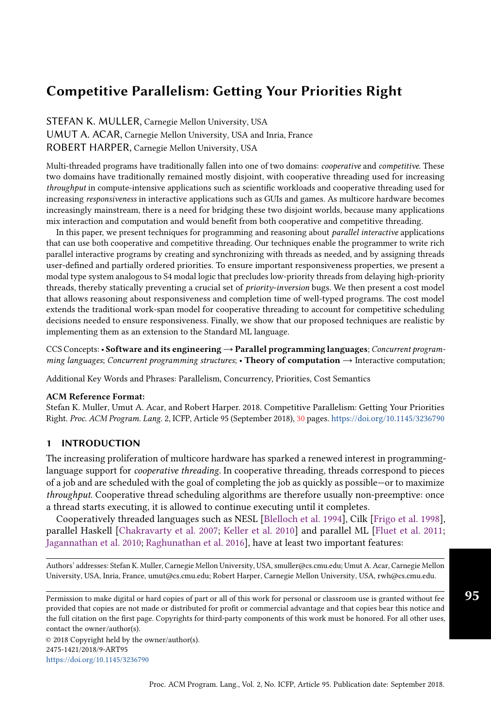<span id="page-0-0"></span>STEFAN K. MULLER, Carnegie Mellon University, USA UMUT A. ACAR, Carnegie Mellon University, USA and Inria, France ROBERT HARPER, Carnegie Mellon University, USA

Multi-threaded programs have traditionally fallen into one of two domains: cooperative and competitive. These two domains have traditionally remained mostly disjoint, with cooperative threading used for increasing throughput in compute-intensive applications such as scientific workloads and cooperative threading used for increasing responsiveness in interactive applications such as GUIs and games. As multicore hardware becomes increasingly mainstream, there is a need for bridging these two disjoint worlds, because many applications mix interaction and computation and would benefit from both cooperative and competitive threading.

In this paper, we present techniques for programming and reasoning about *parallel interactive* applications that can use both cooperative and competitive threading. Our techniques enable the programmer to write rich parallel interactive programs by creating and synchronizing with threads as needed, and by assigning threads user-defined and partially ordered priorities. To ensure important responsiveness properties, we present a modal type system analogous to S4 modal logic that precludes low-priority threads from delaying high-priority threads, thereby statically preventing a crucial set of  $\text{priority-inversion}$  bugs. We then present a cost model that allows reasoning about responsiveness and completion time of well-typed programs. The cost model extends the traditional work-span model for cooperative threading to account for competitive scheduling decisions needed to ensure responsiveness. Finally, we show that our proposed techniques are realistic by implementing them as an extension to the Standard ML language.

CCS Concepts: • Software and its engineering→Parallel programming languages; Concurrent programming languages; Concurrent programming structures; • Theory of computation  $\rightarrow$  Interactive computation;

Additional Key Words and Phrases: Parallelism, Concurrency, Priorities, Cost Semantics

## ACM Reference Format:

Stefan K. Muller, Umut A. Acar, and Robert Harper. 2018. Competitive Parallelism: Getting Your Priorities Right. Proc. ACM Program. Lang. 2, ICFP, Article 95 (September 2018), [30](#page-29-0) pages. <https://doi.org/10.1145/3236790>

## 1 INTRODUCTION

The increasing proliferation of multicore hardware has sparked a renewed interest in programminglanguage support for cooperative threading. In cooperative threading, threads correspond to pieces of a job and are scheduled with the goal of completing the job as quickly as possible—or to maximize throughput. Cooperative thread scheduling algorithms are therefore usually non-preemptive: once a thread starts executing, it is allowed to continue executing until it completes.

Cooperatively threaded languages such as NESL [\[Blelloch et al.](#page-28-0) [1994\]](#page-28-0), Cilk [\[Frigo et al.](#page-28-1) [1998\]](#page-28-1), parallel Haskell [\[Chakravarty et al.](#page-28-2) [2007;](#page-28-2) [Keller et al.](#page-28-3) [2010\]](#page-28-3) and parallel ML [\[Fluet et al.](#page-28-4) [2011;](#page-28-4) [Jagannathan et al.](#page-28-5) [2010;](#page-28-5) [Raghunathan et al.](#page-29-1) [2016\]](#page-29-1), have at least two important features:

Authors' addresses: Stefan K. Muller, Carnegie Mellon University, USA, smuller@cs.cmu.edu; Umut A. Acar, Carnegie Mellon University, USA, Inria, France, umut@cs.cmu.edu; Robert Harper, Carnegie Mellon University, USA, rwh@cs.cmu.edu.

Permission to make digital or hard copies of part or all of this work for personal or classroom use is granted without fee provided that copies are not made or distributed for profit or commercial advantage and that copies bear this notice and the full citation on the first page. Copyrights for third-party components of this work must be honored. For all other uses, contact the owner/author(s).

© 2018 Copyright held by the owner/author(s). 2475-1421/2018/9-ART95 <https://doi.org/10.1145/3236790>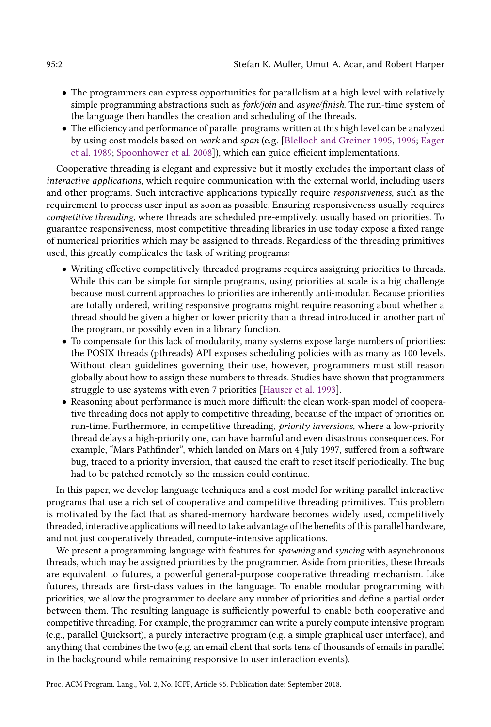- The programmers can express opportunities for parallelism at a high level with relatively simple programming abstractions such as *fork/join* and *async/finish*. The run-time system of the language then handles the creation and scheduling of the threads.
- The efficiency and performance of parallel programs written at this high level can be analyzed by using cost models based on work and span (e.g. [\[Blelloch and Greiner](#page-27-0) [1995,](#page-27-0) [1996;](#page-27-1) [Eager](#page-28-6) [et al.](#page-28-6) [1989;](#page-28-6) [Spoonhower et al.](#page-29-2) [2008\]](#page-29-2)), which can guide efficient implementations.

Cooperative threading is elegant and expressive but it mostly excludes the important class of interactive applications, which require communication with the external world, including users and other programs. Such interactive applications typically require responsiveness, such as the requirement to process user input as soon as possible. Ensuring responsiveness usually requires competitive threading, where threads are scheduled pre-emptively, usually based on priorities. To guarantee responsiveness, most competitive threading libraries in use today expose a fixed range of numerical priorities which may be assigned to threads. Regardless of the threading primitives used, this greatly complicates the task of writing programs:

- Writing effective competitively threaded programs requires assigning priorities to threads. While this can be simple for simple programs, using priorities at scale is a big challenge because most current approaches to priorities are inherently anti-modular. Because priorities are totally ordered, writing responsive programs might require reasoning about whether a thread should be given a higher or lower priority than a thread introduced in another part of the program, or possibly even in a library function.
- To compensate for this lack of modularity, many systems expose large numbers of priorities: the POSIX threads (pthreads) API exposes scheduling policies with as many as 100 levels. Without clean guidelines governing their use, however, programmers must still reason globally about how to assign these numbers to threads. Studies have shown that programmers struggle to use systems with even 7 priorities [\[Hauser et al.](#page-28-7) [1993\]](#page-28-7).
- Reasoning about performance is much more difficult: the clean work-span model of cooperative threading does not apply to competitive threading, because of the impact of priorities on run-time. Furthermore, in competitive threading, *priority inversions*, where a low-priority thread delays a high-priority one, can have harmful and even disastrous consequences. For example, "Mars Pathfinder", which landed on Mars on 4 July 1997, suffered from a software bug, traced to a priority inversion, that caused the craft to reset itself periodically. The bug had to be patched remotely so the mission could continue.

In this paper, we develop language techniques and a cost model for writing parallel interactive programs that use a rich set of cooperative and competitive threading primitives. This problem is motivated by the fact that as shared-memory hardware becomes widely used, competitively threaded, interactive applications will need to take advantage of the benefits of this parallel hardware, and not just cooperatively threaded, compute-intensive applications.

We present a programming language with features for *spawning* and *syncing* with asynchronous threads, which may be assigned priorities by the programmer. Aside from priorities, these threads are equivalent to futures, a powerful general-purpose cooperative threading mechanism. Like futures, threads are first-class values in the language. To enable modular programming with priorities, we allow the programmer to declare any number of priorities and define a partial order between them. The resulting language is sufficiently powerful to enable both cooperative and competitive threading. For example, the programmer can write a purely compute intensive program (e.g., parallel Quicksort), a purely interactive program (e.g. a simple graphical user interface), and anything that combines the two (e.g. an email client that sorts tens of thousands of emails in parallel in the background while remaining responsive to user interaction events).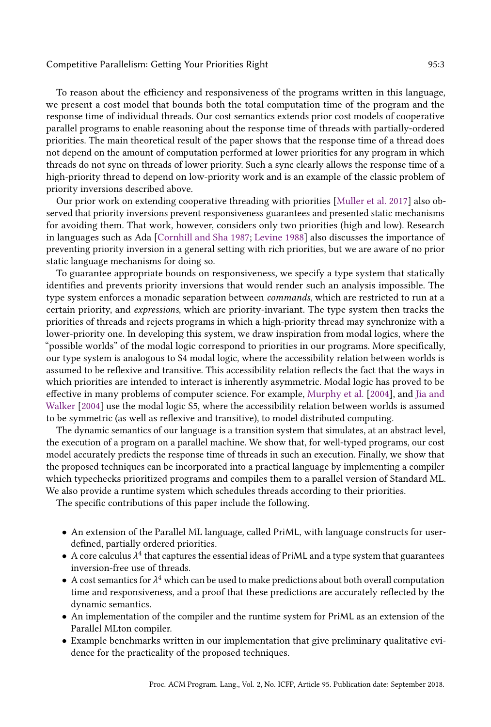To reason about the efficiency and responsiveness of the programs written in this language, we present a cost model that bounds both the total computation time of the program and the response time of individual threads. Our cost semantics extends prior cost models of cooperative parallel programs to enable reasoning about the response time of threads with partially-ordered priorities. The main theoretical result of the paper shows that the response time of a thread does not depend on the amount of computation performed at lower priorities for any program in which threads do not sync on threads of lower priority. Such a sync clearly allows the response time of a high-priority thread to depend on low-priority work and is an example of the classic problem of priority inversions described above.

Our prior work on extending cooperative threading with priorities [\[Muller et al.](#page-28-8) [2017\]](#page-28-8) also observed that priority inversions prevent responsiveness guarantees and presented static mechanisms for avoiding them. That work, however, considers only two priorities (high and low). Research in languages such as Ada [\[Cornhill and Sha](#page-28-9) [1987;](#page-28-9) [Levine](#page-28-10) [1988\]](#page-28-10) also discusses the importance of preventing priority inversion in a general setting with rich priorities, but we are aware of no prior static language mechanisms for doing so.

To guarantee appropriate bounds on responsiveness, we specify a type system that statically identifies and prevents priority inversions that would render such an analysis impossible. The type system enforces a monadic separation between *commands*, which are restricted to run at a certain priority, and expressions, which are priority-invariant. The type system then tracks the priorities of threads and rejects programs in which a high-priority thread may synchronize with a lower-priority one. In developing this system, we draw inspiration from modal logics, where the "possible worlds" of the modal logic correspond to priorities in our programs. More specifically, our type system is analogous to S4 modal logic, where the accessibility relation between worlds is assumed to be reflexive and transitive. This accessibility relation reflects the fact that the ways in which priorities are intended to interact is inherently asymmetric. Modal logic has proved to be effective in many problems of computer science. For example, [Murphy et al.](#page-28-11) [\[2004\]](#page-28-11), and [Jia and](#page-28-12) [Walker](#page-28-12) [\[2004\]](#page-28-12) use the modal logic S5, where the accessibility relation between worlds is assumed to be symmetric (as well as reflexive and transitive), to model distributed computing.

The dynamic semantics of our language is a transition system that simulates, at an abstract level, the execution of a program on a parallel machine. We show that, for well-typed programs, our cost model accurately predicts the response time of threads in such an execution. Finally, we show that the proposed techniques can be incorporated into a practical language by implementing a compiler which typechecks prioritized programs and compiles them to a parallel version of Standard ML. We also provide a runtime system which schedules threads according to their priorities.

The specific contributions of this paper include the following.

- An extension of the Parallel ML language, called PriML, with language constructs for userdefined, partially ordered priorities.
- $\bullet$  A core calculus  $\lambda^4$  that captures the essential ideas of PriML and a type system that guarantees inversion-free use of threads.
- $\bullet$  A cost semantics for  $\lambda^4$  which can be used to make predictions about both overall computation time and responsiveness, and a proof that these predictions are accurately reflected by the dynamic semantics.
- An implementation of the compiler and the runtime system for PriML as an extension of the Parallel MLton compiler.
- Example benchmarks written in our implementation that give preliminary qualitative evidence for the practicality of the proposed techniques.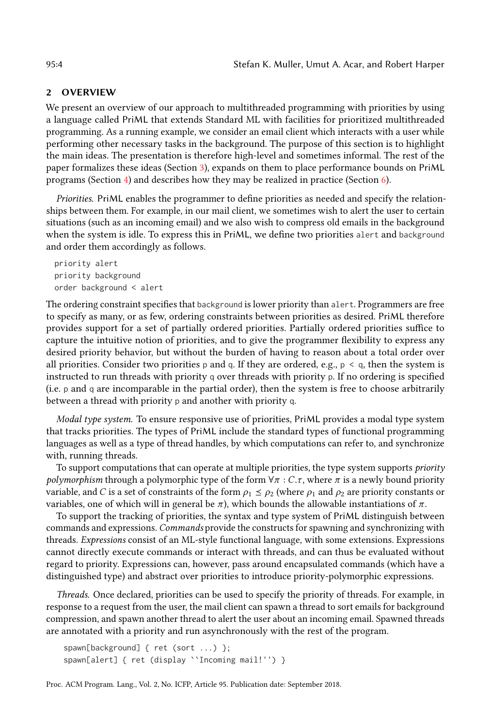### <span id="page-3-0"></span>2 OVERVIEW

We present an overview of our approach to multithreaded programming with priorities by using a language called PriML that extends Standard ML with facilities for prioritized multithreaded programming. As a running example, we consider an email client which interacts with a user while performing other necessary tasks in the background. The purpose of this section is to highlight the main ideas. The presentation is therefore high-level and sometimes informal. The rest of the paper formalizes these ideas (Section [3\)](#page-6-0), expands on them to place performance bounds on PriML programs (Section [4\)](#page-14-0) and describes how they may be realized in practice (Section [6\)](#page-23-0).

Priorities. PriML enables the programmer to define priorities as needed and specify the relationships between them. For example, in our mail client, we sometimes wish to alert the user to certain situations (such as an incoming email) and we also wish to compress old emails in the background when the system is idle. To express this in PriML, we define two priorities alert and background and order them accordingly as follows.

```
priority alert
priority background
order background < alert
```
The ordering constraint specifies that background is lower priority than alert. Programmers are free to specify as many, or as few, ordering constraints between priorities as desired. PriML therefore provides support for a set of partially ordered priorities. Partially ordered priorities suffice to capture the intuitive notion of priorities, and to give the programmer flexibility to express any desired priority behavior, but without the burden of having to reason about a total order over all priorities. Consider two priorities  $p$  and  $q$ . If they are ordered, e.g.,  $p < q$ , then the system is instructed to run threads with priority q over threads with priority p. If no ordering is specified (i.e. p and q are incomparable in the partial order), then the system is free to choose arbitrarily between a thread with priority p and another with priority q.

Modal type system. To ensure responsive use of priorities, PriML provides a modal type system that tracks priorities. The types of PriML include the standard types of functional programming languages as well as a type of thread handles, by which computations can refer to, and synchronize with, running threads.

To support computations that can operate at multiple priorities, the type system supports *priority polymorphism* through a polymorphic type of the form  $\forall \pi : C.\tau$ , where  $\pi$  is a newly bound priority variable, and C is a set of constraints of the form  $\rho_1 \le \rho_2$  (where  $\rho_1$  and  $\rho_2$  are priority constants or variables, one of which will in general be  $\pi$ ), which bounds the allowable instantiations of  $\pi$ .

To support the tracking of priorities, the syntax and type system of PriML distinguish between commands and expressions. Commands provide the constructs for spawning and synchronizing with threads. Expressions consist of an ML-style functional language, with some extensions. Expressions cannot directly execute commands or interact with threads, and can thus be evaluated without regard to priority. Expressions can, however, pass around encapsulated commands (which have a distinguished type) and abstract over priorities to introduce priority-polymorphic expressions.

Threads. Once declared, priorities can be used to specify the priority of threads. For example, in response to a request from the user, the mail client can spawn a thread to sort emails for background compression, and spawn another thread to alert the user about an incoming email. Spawned threads are annotated with a priority and run asynchronously with the rest of the program.

```
spawn[background] { ret (sort ...) };
spawn[alert] { ret (display ``Incoming mail!'') }
```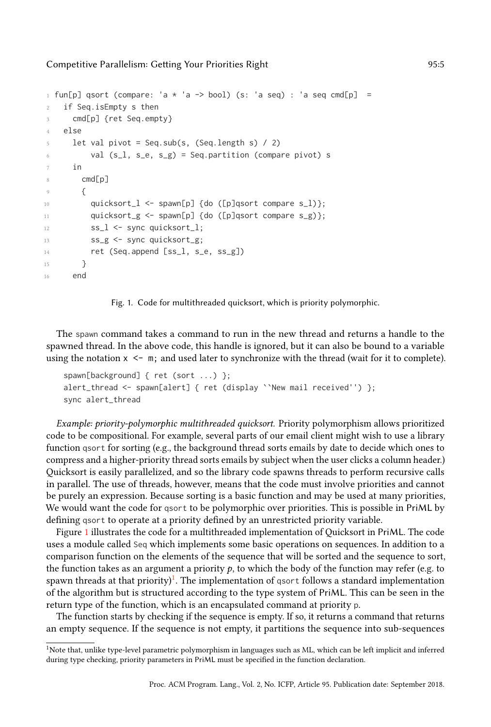```
1 fun[p] qsort (compare: 'a * 'a -> bool) (s: 'a seq) : 'a seq cmd[p] =
2 if Seq.isEmpty s then
3 cmd[p] {ret Seq.empty}
4 else
5 let val pivot = Seq.sub(s, (Seq.length s) / 2)
6 val (s_1, s_2, s_3) = Seq.partition (compare pivot) s
7 in
       cmd[p]\{10 quicksort_l <- spawn[p] {do ([p]qsort compare s_l)};
11 quicksort_g <- spawn[p] {do ([p]qsort compare s_g)};
12 ss_l <- sync quicksort_l;
13 ss_g <- sync quicksort_g;
14 ret (Seq.append [ss_l, s_e, ss_g])
15 }
16 end
```
Fig. 1. Code for multithreaded quicksort, which is priority polymorphic.

The spawn command takes a command to run in the new thread and returns a handle to the spawned thread. In the above code, this handle is ignored, but it can also be bound to a variable using the notation  $x < -m$ ; and used later to synchronize with the thread (wait for it to complete).

```
spawn[background] { ret (sort ...) };
alert_thread <- spawn[alert] { ret (display ``New mail received'') };
sync alert_thread
```
Example: priority-polymorphic multithreaded quicksort. Priority polymorphism allows prioritized code to be compositional. For example, several parts of our email client might wish to use a library function qsort for sorting (e.g., the background thread sorts emails by date to decide which ones to compress and a higher-priority thread sorts emails by subject when the user clicks a column header.) Quicksort is easily parallelized, and so the library code spawns threads to perform recursive calls in parallel. The use of threads, however, means that the code must involve priorities and cannot be purely an expression. Because sorting is a basic function and may be used at many priorities, We would want the code for qsort to be polymorphic over priorities. This is possible in PriML by defining qsort to operate at a priority defined by an unrestricted priority variable.

Figure [1](#page-4-0) illustrates the code for a multithreaded implementation of Quicksort in PriML. The code uses a module called Seq which implements some basic operations on sequences. In addition to a comparison function on the elements of the sequence that will be sorted and the sequence to sort, the function takes as an argument a priority  $p$ , to which the body of the function may refer (e.g. to spawn threads at that priority)<sup>[1](#page-4-1)</sup>. The implementation of qsort follows a standard implementation of the algorithm but is structured according to the type system of PriML. This can be seen in the return type of the function, which is an encapsulated command at priority p.

The function starts by checking if the sequence is empty. If so, it returns a command that returns an empty sequence. If the sequence is not empty, it partitions the sequence into sub-sequences

<span id="page-4-1"></span> $^{\rm 1}$  Note that, unlike type-level parametric polymorphism in languages such as ML, which can be left implicit and inferred during type checking, priority parameters in PriML must be specified in the function declaration.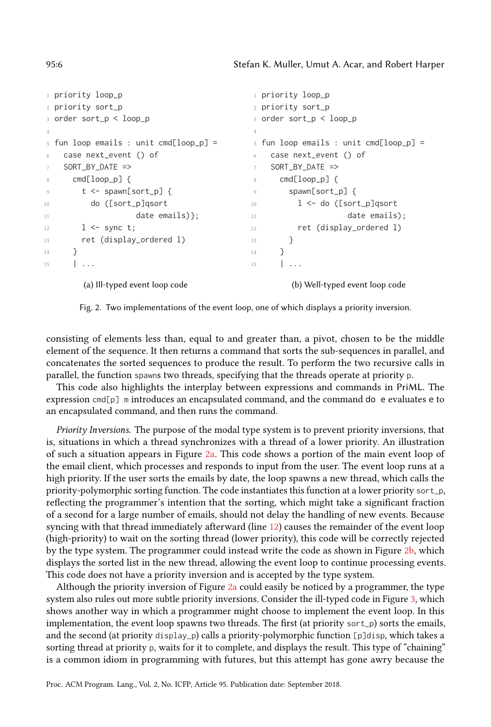<span id="page-5-0"></span>

| 1 priority loop_p                      | 1 priority loop_p                      |
|----------------------------------------|----------------------------------------|
| 2 priority sort_p                      | 2 priority sort_p                      |
| 3 order sort_p < loop_p                | 3 order sort_p < loop_p                |
| $\overline{4}$                         | $\overline{4}$                         |
| 5 fun loop emails : unit cmd[loop_p] = | 5 fun loop emails : unit cmd[loop_p] = |
| case next_event () of                  | case next_event () of                  |
| 6                                      | 6                                      |
| $SORT_BY_DATE \implies$                | $SORT_BY_DATE$ =>                      |
| 7                                      | $\tau$                                 |
| $cmd[loop_p]$ {                        | $cmd[loop_p]$ {                        |
| 8                                      | 8                                      |
| t $\le$ spawn[sort_p] {                | $span[sort_p]$ {                       |
| 9                                      | 9                                      |
| do ([sort_p]qsort                      | $1 \leftarrow$ do ([sort_p]qsort       |
| 10                                     | 10                                     |
| $date$ emails) :                       | $date$ emails);                        |
| 11                                     | 11                                     |
| $1 \leftarrow$ sync t;                 | ret (display_ordered 1)                |
| 12                                     | 12                                     |
| ret (display_ordered 1)                | }                                      |
| 13                                     | 13                                     |
| 14                                     | <b>}</b><br>14                         |
| 15                                     | 15                                     |
| (a) Ill-typed event loop code          | (b) Well-typed event loop code         |

<span id="page-5-1"></span>Fig. 2. Two implementations of the event loop, one of which displays a priority inversion.

consisting of elements less than, equal to and greater than, a pivot, chosen to be the middle element of the sequence. It then returns a command that sorts the sub-sequences in parallel, and concatenates the sorted sequences to produce the result. To perform the two recursive calls in parallel, the function spawns two threads, specifying that the threads operate at priority p.

This code also highlights the interplay between expressions and commands in PriML. The expression cmd[p] m introduces an encapsulated command, and the command do e evaluates e to an encapsulated command, and then runs the command.

Priority Inversions. The purpose of the modal type system is to prevent priority inversions, that is, situations in which a thread synchronizes with a thread of a lower priority. An illustration of such a situation appears in Figure [2a.](#page-5-0) This code shows a portion of the main event loop of the email client, which processes and responds to input from the user. The event loop runs at a high priority. If the user sorts the emails by date, the loop spawns a new thread, which calls the priority-polymorphic sorting function. The code instantiates this function at a lower priority sort\_p, reflecting the programmer's intention that the sorting, which might take a significant fraction of a second for a large number of emails, should not delay the handling of new events. Because syncing with that thread immediately afterward (line [12\)](#page-5-1) causes the remainder of the event loop (high-priority) to wait on the sorting thread (lower priority), this code will be correctly rejected by the type system. The programmer could instead write the code as shown in Figure [2b,](#page-5-0) which displays the sorted list in the new thread, allowing the event loop to continue processing events. This code does not have a priority inversion and is accepted by the type system.

Although the priority inversion of Figure [2a](#page-5-0) could easily be noticed by a programmer, the type system also rules out more subtle priority inversions. Consider the ill-typed code in Figure [3,](#page-6-1) which shows another way in which a programmer might choose to implement the event loop. In this implementation, the event loop spawns two threads. The first (at priority sort\_p) sorts the emails, and the second (at priority display\_p) calls a priority-polymorphic function [p]disp, which takes a sorting thread at priority p, waits for it to complete, and displays the result. This type of "chaining" is a common idiom in programming with futures, but this attempt has gone awry because the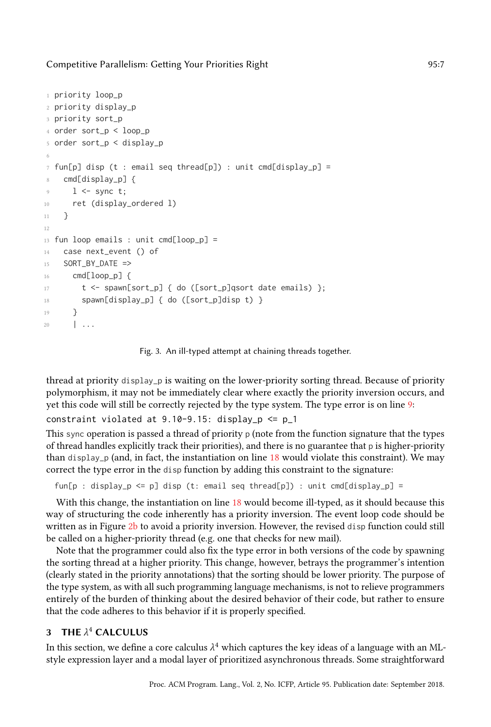```
1 priority loop_p
2 priority display_p
3 priority sort_p
4 order sort_p < loop_p
5 order sort_p < display_p
6
\tau fun[p] disp (t : email seq thread[p]) : unit cmd[display_p] =
    cmd[display_p] {
      1 \leftarrow sync t;
10 ret (display_ordered l)
11 }
12
13 fun loop emails : unit cmd[loop_p] =
14 case next_event () of
15 SORT_BY_DATE =>
16 cmd[loop_p] {
17 t <- spawn[sort_p] { do ([sort_p]qsort date emails) };
18 spawn[display_p] { do ([sort_p]disp t) }
19 }
20 | ...
```
Fig. 3. An ill-typed attempt at chaining threads together.

<span id="page-6-3"></span>thread at priority display\_p is waiting on the lower-priority sorting thread. Because of priority polymorphism, it may not be immediately clear where exactly the priority inversion occurs, and yet this code will still be correctly rejected by the type system. The type error is on line [9:](#page-6-2)

constraint violated at  $9.10-9.15$ : display\_p <= p\_1

This sync operation is passed a thread of priority  $p$  (note from the function signature that the types of thread handles explicitly track their priorities), and there is no guarantee that p is higher-priority than display<sub>-p</sub> (and, in fact, the instantiation on line  $18$  would violate this constraint). We may correct the type error in the disp function by adding this constraint to the signature:

 $fun[p : display_p] \leq p$ ] disp (t: email seq thread[p]) : unit cmd[display\_p] =

With this change, the instantiation on line [18](#page-6-3) would become ill-typed, as it should because this way of structuring the code inherently has a priority inversion. The event loop code should be written as in Figure [2b](#page-5-0) to avoid a priority inversion. However, the revised disp function could still be called on a higher-priority thread (e.g. one that checks for new mail).

Note that the programmer could also fix the type error in both versions of the code by spawning the sorting thread at a higher priority. This change, however, betrays the programmer's intention (clearly stated in the priority annotations) that the sorting should be lower priority. The purpose of the type system, as with all such programming language mechanisms, is not to relieve programmers entirely of the burden of thinking about the desired behavior of their code, but rather to ensure that the code adheres to this behavior if it is properly specified.

## <span id="page-6-0"></span>3 THE  $\lambda^4$  CALCULUS

In this section, we define a core calculus  $\lambda^4$  which captures the key ideas of a language with an MLstyle expression layer and a modal layer of prioritized asynchronous threads. Some straightforward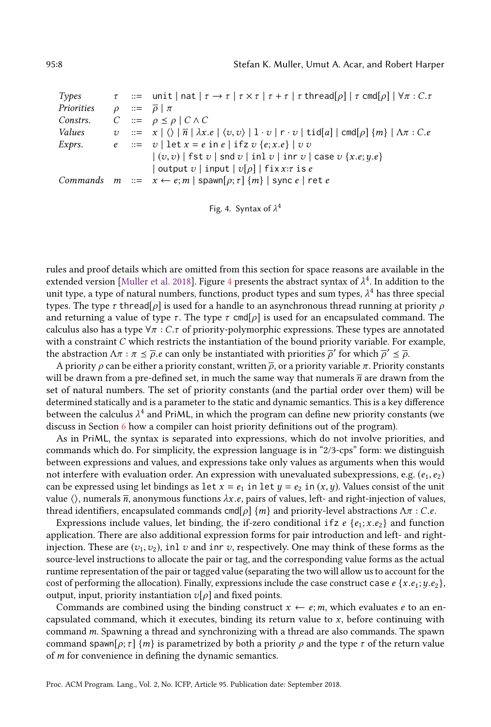<span id="page-7-0"></span>

| $T\nu pes$ |  | $\tau$ ::= unit   nat   $\tau \to \tau$   $\tau \times \tau$   $\tau + \tau$   $\tau$ thread[ $\rho$ ]   $\tau$ cmd[ $\rho$ ]   $\forall \pi : C.\tau$                                                 |
|------------|--|--------------------------------------------------------------------------------------------------------------------------------------------------------------------------------------------------------|
| Priorities |  | $\rho \quad ::= \quad \overline{\rho} \mid \pi$                                                                                                                                                        |
| Constrs.   |  | $C ::= \rho \leq \rho \mid C \wedge C$                                                                                                                                                                 |
| Values     |  | $v := x \cup \{\vert \overline{n} \vert \lambda x.e \vert \langle v, v \rangle \vert 1 \cdot v \vert r \cdot v \vert \t{t} \cdot d \vert a \vert \vert \text{cmd}[\rho] \{m\} \vert \Lambda \pi : C.e$ |
| Exprs.     |  | $e$ ::= $v$   let $x = e$ in $e$   if $z v$ { $e; x.e$ }   $v v$                                                                                                                                       |
|            |  | $ (v, v) $ fst $v$   snd $v$   inl $v$   inr $v$   case $v \{x.e, y.e\}$                                                                                                                               |
|            |  | output $v$   input $ v[\rho] $ fix $x:\tau$ is e                                                                                                                                                       |
|            |  | Commands $m ::= x \leftarrow e; m   span[\rho; \tau] \{m\}   sync e   ret e$                                                                                                                           |
|            |  |                                                                                                                                                                                                        |

Fig. 4. Syntax of  $\lambda^4$ 

rules and proof details which are omitted from this section for space reasons are available in the extended version [\[Muller et al.](#page-28-13) [2018\]](#page-28-13). Figure [4](#page-7-0) presents the abstract syntax of  $\lambda^4$ . In addition to the unit type, a type of natural numbers, functions, product types and sum types,  $\lambda^4$  has three special types. The type τ thread  $[\rho]$  is used for a handle to an asynchronous thread running at priority  $\rho$ and returning a value of type  $\tau$ . The type  $\tau$  cmd[ $\rho$ ] is used for an encapsulated command. The calculus also has a type  $\forall \pi : C.\tau$  of priority-polymorphic expressions. These types are annotated with a constraint C which restricts the instantiation of the bound priority variable. For example, the abstraction  $\Lambda \pi : \pi \leq \overline{\rho}$ .e can only be instantiated with priorities  $\overline{\rho}'$  for which  $\overline{\rho}' \leq \overline{\rho}$ .<br>A priority can be either a priority constant written  $\overline{\rho}$  or a priority variable  $\pi$ . Priority can

A priority  $\rho$  can be either a priority constant, written  $\bar{\rho}$ , or a priority variable  $\pi$ . Priority constants will be drawn from a pre-defined set, in much the same way that numerals  $\overline{n}$  are drawn from the set of natural numbers. The set of priority constants (and the partial order over them) will be determined statically and is a parameter to the static and dynamic semantics. This is a key difference between the calculus  $\lambda^4$  and PriML, in which the program can define new priority constants (we discuss in Section [6](#page-23-0) how a compiler can hoist priority definitions out of the program).

As in PriML, the syntax is separated into expressions, which do not involve priorities, and commands which do. For simplicity, the expression language is in "2/3-cps" form: we distinguish between expressions and values, and expressions take only values as arguments when this would not interfere with evaluation order. An expression with unevaluated subexpressions, e.g.  $(e_1, e_2)$ can be expressed using let bindings as let  $x = e_1$  in let  $y = e_2$  in  $(x, y)$ . Values consist of the unit value  $\langle \rangle$ , numerals  $\overline{n}$ , anonymous functions  $\lambda x.e$ , pairs of values, left- and right-injection of values, thread identifiers, encapsulated commands cmd[ρ] {m} and priority-level abstractions  $\Lambda \pi$  : C.e.

Expressions include values, let binding, the if-zero conditional if z e {e<sub>1</sub>;  $x.e<sub>2</sub>$ } and function application. There are also additional expression forms for pair introduction and left- and rightinjection. These are  $(v_1, v_2)$ , inl v and inr v, respectively. One may think of these forms as the source-level instructions to allocate the pair or tag, and the corresponding value forms as the actual runtime representation of the pair or tagged value (separating the two will allow us to account for the cost of performing the allocation). Finally, expressions include the case construct case  $e \{x.e_1; y.e_2\}$ , output, input, priority instantiation  $v[\rho]$  and fixed points.

Commands are combined using the binding construct  $x \leftarrow e$ ; m, which evaluates e to an encapsulated command, which it executes, binding its return value to  $x$ , before continuing with command  $m$ . Spawning a thread and synchronizing with a thread are also commands. The spawn command spawn[ $\rho$ ;  $\tau$ ] { $m$ } is parametrized by both a priority  $\rho$  and the type  $\tau$  of the return value of m for convenience in defining the dynamic semantics.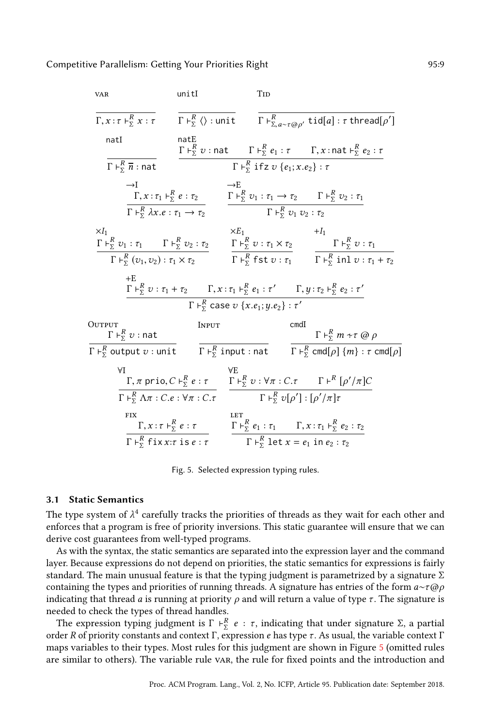<span id="page-8-0"></span>

| VAR                                                                                   | unitI |                                                                                                                           |                                                                                                                                                                                                                                   |
|---------------------------------------------------------------------------------------|-------|---------------------------------------------------------------------------------------------------------------------------|-----------------------------------------------------------------------------------------------------------------------------------------------------------------------------------------------------------------------------------|
|                                                                                       |       |                                                                                                                           | $\overline{\Gamma, x : \tau} \vdash_{\Sigma}^{R} x : \tau$ $\Gamma \vdash_{\Sigma}^{R} \langle \rangle$ : unit $\Gamma \vdash_{\Sigma, a \sim \tau \cap \partial \rho'}^{R} \text{tid}[a] : \tau \text{ thread}[\rho']$           |
| natI                                                                                  | natE  |                                                                                                                           | $\Gamma \vdash_{\Sigma}^{R} v : \text{nat}$ $\Gamma \vdash_{\Sigma}^{R} e_1 : \tau$ $\Gamma, x : \text{nat } \vdash_{\Sigma}^{R} e_2 : \tau$                                                                                      |
| $\Gamma\vdash^R_{\overline{Y}} \overline{n}$ : nat                                    |       | $\Gamma \vdash_{\Sigma}^{R} \text{ifz } v \{e_1; x.e_2\} : \tau$                                                          |                                                                                                                                                                                                                                   |
| $\rightarrow$ I<br>$\Gamma \vdash^R_{\Sigma} \lambda x.e : \tau_1 \rightarrow \tau_2$ |       | $\rightarrow$ E                                                                                                           | $\Gamma, x : \tau_1 \vdash_{\Sigma}^R e : \tau_2$ $\Gamma \vdash_{\Sigma}^R v_1 : \tau_1 \to \tau_2$ $\Gamma \vdash_{\Sigma}^R v_2 : \tau_1$<br>$\Gamma \vdash^R_{\nabla} v_1 v_2 : \tau_2$                                       |
|                                                                                       |       |                                                                                                                           |                                                                                                                                                                                                                                   |
| $\times I_1$                                                                          |       | $\times E_1$                                                                                                              | $+I_1$<br>$\Gamma \vdash^R_\Sigma v_1 : \tau_1 \qquad \Gamma \vdash^R_\Sigma v_2 : \tau_2 \qquad \Gamma \vdash^R_\Sigma v : \tau_1 \times \tau_2 \qquad \qquad \Gamma \vdash^R_\Sigma v : \tau_1$                                 |
|                                                                                       |       |                                                                                                                           | $\overline{\Gamma \vdash^{R}_{\overline{Y}}(v_1, v_2) : \tau_1 \times \tau_2}$ $\overline{\Gamma \vdash^{R}_{\overline{Y}} \text{fst } v : \tau_1}$ $\overline{\Gamma \vdash^{R}_{\overline{Y}} \text{inl } v : \tau_1 + \tau_2}$ |
|                                                                                       |       |                                                                                                                           | $\Gamma \vdash_{\Sigma}^{R} v : \tau_1 + \tau_2$ $\Gamma, x : \tau_1 \vdash_{\Sigma}^{R} e_1 : \tau'$ $\Gamma, y : \tau_2 \vdash_{\Sigma}^{R} e_2 : \tau'$                                                                        |
|                                                                                       |       | $\Gamma \vdash^R_{\Sigma}$ case $v \{x.e_1; y.e_2\} : \tau'$                                                              |                                                                                                                                                                                                                                   |
| OUTPUT<br>$\Gamma\vdash^R_{\Sigma}\upsilon:$ nat                                      | INPUT |                                                                                                                           | cmdI<br>$\Gamma \vdash^R_{\Sigma} m \sim \tau \omega \rho$                                                                                                                                                                        |
|                                                                                       |       |                                                                                                                           | $\Gamma \vdash_{\Sigma}^{R} \text{output } v : \text{unit} \qquad \Gamma \vdash_{\Sigma}^{R} \text{input} : \text{nat} \qquad \Gamma \vdash_{\Sigma}^{R} \text{cmd}[\rho] \{m\} : \tau \text{cmd}[\rho]$                          |
| $\forall$ I                                                                           |       | $\Gamma \vdash^R_{\Sigma} \Lambda \pi : C.e : \forall \pi : C.\tau$ $\Gamma \vdash^R_{\Sigma} v[\rho'] : [\rho'/\pi]\tau$ | $\Gamma, \pi$ prio, $C \vdash_{\Sigma}^{R} e : \tau$ $\Gamma \vdash_{\Sigma}^{R} v : \forall \pi : C.\tau$ $\Gamma \vdash^{R} [\rho'/\pi]C$                                                                                       |
| <b>FIX</b>                                                                            |       | $\Gamma \vdash^R_{\Sigma}$ fix x: $\tau$ is $e : \tau$ $\Gamma \vdash^R_{\Sigma}$ let $x = e_1$ in $e_2 : \tau_2$         | $\Gamma$ , $x : \tau \vdash^R_{\Sigma} e : \tau$ $\Gamma \vdash^R_{\Sigma} e_1 : \tau_1$ $\Gamma$ , $x : \tau_1 \vdash^R_{\Sigma} e_2 : \tau_2$                                                                                   |
|                                                                                       |       |                                                                                                                           |                                                                                                                                                                                                                                   |

Fig. 5. Selected expression typing rules.

#### 3.1 Static Semantics

The type system of  $\lambda^4$  carefully tracks the priorities of threads as they wait for each other and enforces that a program is free of priority inversions. This static guarantee will ensure that we can derive cost guarantees from well-typed programs.

As with the syntax, the static semantics are separated into the expression layer and the command layer. Because expressions do not depend on priorities, the static semantics for expressions is fairly standard. The main unusual feature is that the typing judgment is parametrized by a signature  $\Sigma$ containing the types and priorities of running threads. A signature has entries of the form  $a \sim \tau \omega \rho$ indicating that thread a is running at priority  $\rho$  and will return a value of type  $\tau$ . The signature is needed to check the types of thread handles.

The expression typing judgment is  $\Gamma \vdash_{\Sigma}^{R} e : \tau$ , indicating that under signature  $\Sigma$ , a partial<br>der R of priority constants and context  $\Gamma$  expression e has type  $\tau$ . As usual, the variable context  $\Gamma$ order R of priority constants and context Γ, expression e has type τ. As usual, the variable context Γ<br>mans variables to their types. Most rules for this judgment are shown in Figure 5 (omitted rules maps variables to their types. Most rules for this judgment are shown in Figure [5](#page-8-0) (omitted rules are similar to others). The variable rule var, the rule for fixed points and the introduction and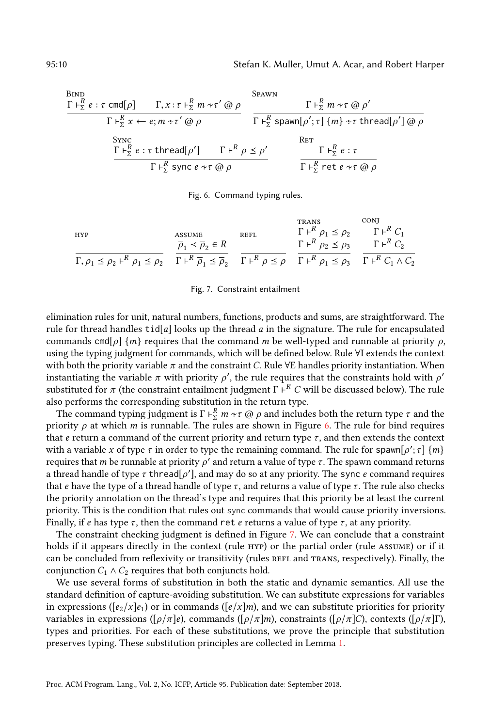<span id="page-9-0"></span>**BIND**

\n
$$
\frac{\Gamma \vdash_{\Sigma}^{R} e : \tau \text{ cmd}[\rho] \qquad \Gamma, x : \tau \vdash_{\Sigma}^{R} m \rightsquigarrow \tau' \text{ @ } \rho}{\Gamma \vdash_{\Sigma}^{R} x \leftarrow e; m \rightsquigarrow \tau' \text{ @ } \rho} \qquad \frac{\Gamma \vdash_{\Sigma}^{R} m \rightsquigarrow \tau \text{ @ } \rho'}{\Gamma \vdash_{\Sigma}^{R} \text{spam}[\rho'; \tau] \{m\} \rightsquigarrow \tau \text{ thread}[\rho'] \text{ @ } \rho}
$$
\nSince

\n
$$
\frac{\text{SYNC}}{\Gamma \vdash_{\Sigma}^{R} e : \tau \text{ thread}[\rho']} \qquad \frac{\Gamma \vdash_{\Gamma}^{R} \text{spam}[\rho'; \tau] \{m\} \rightsquigarrow \tau \text{ thread}[\rho'] \text{ @ } \rho'}{\Gamma \vdash_{\Sigma}^{R} \text{spam } e \rightsquigarrow \tau \text{ @ } \rho} \qquad \frac{\text{RET}}{\Gamma \vdash_{\Sigma}^{R} \text{ret } e \rightsquigarrow \tau \text{ @ } \rho}
$$

Fig. 6. Command typing rules.

<span id="page-9-1"></span>hyp  $\Gamma, \rho_1 \leq \rho_2 \vdash^R \rho_1 \leq \rho_2$ assume  $\overline{\rho}_1 \prec \overline{\rho}_2 \in R$  $\Gamma \vdash^R \overline{\rho}_1 \leq \overline{\rho}_2$ refl  $\Gamma \vdash^R \rho \leq \rho$ trans  $\Gamma \vdash^R \rho_1 \leq \rho_2$ <br> $\Gamma \vdash^R \rho_2 \leq \rho_2$  $\frac{\Gamma \vdash^R \rho_2 \leq \rho_3}{P}$  $\Gamma \vdash^R \rho_1 \leq \rho_3$ conj  $\Gamma\vdash^R C_1$ <br> $\Gamma\vdash^R C_1$  $\frac{\Gamma \vdash^R C_2}{R}$  $\Gamma \vdash^R C_1 \wedge C_2$ 

#### Fig. 7. Constraint entailment

elimination rules for unit, natural numbers, functions, products and sums, are straightforward. The rule for thread handles tid[a] looks up the thread a in the signature. The rule for encapsulated commands cmd[ρ] {m} requires that the command m be well-typed and runnable at priority  $\rho$ , using the typing judgment for commands, which will be defined below. Rule ∀I extends the context with both the priority variable  $\pi$  and the constraint C. Rule  $\forall$ E handles priority instantiation. When instantiating the variable  $\pi$  with priority  $\rho'$ , the rule requires that the constraints hold with  $\rho'$ substituted for  $\pi$  (the constraint entailment judgment  $\Gamma \stackrel{\circ}{\vdash}^R C$  will be discussed below). The rule also performs the corresponding substitution in the return type.

The command typing judgment is  $\Gamma \vdash^R_\Sigma m \nightharpoonup \varphi \rho$  and includes both the return type  $\tau$  and the locity  $\rho$  at which m is runnable. The rules are shown in Figure 6. The rule for bind requires priority  $\rho$  at which *m* is runnable. The rules are shown in Figure [6.](#page-9-0) The rule for bind requires that e return a command of the current priority and return type  $\tau$ , and then extends the context with a variable x of type  $\tau$  in order to type the remaining command. The rule for spawn[ $\rho$ ';  $\tau$ ]  $\{m\}$ requires that *m* be runnable at priority  $ρ'$  and return a value of type  $τ$ . The spawn command returns a thread handle of type  $\tau$  thread[ $\rho'$ ], and may do so at any priority. The sync e command requires that e have the type of a thread handle of type  $\tau$ , and returns a value of type  $\tau$ . The rule also checks the priority annotation on the thread's type and requires that this priority be at least the current priority. This is the condition that rules out sync commands that would cause priority inversions. Finally, if e has type  $\tau$ , then the command ret e returns a value of type  $\tau$ , at any priority.

The constraint checking judgment is defined in Figure [7.](#page-9-1) We can conclude that a constraint holds if it appears directly in the context (rule hyp) or the partial order (rule assume) or if it can be concluded from reflexivity or transitivity (rules refl and trans, respectively). Finally, the conjunction  $C_1 \wedge C_2$  requires that both conjuncts hold.

We use several forms of substitution in both the static and dynamic semantics. All use the standard definition of capture-avoiding substitution. We can substitute expressions for variables in expressions ( $[e_2/x]e_1$ ) or in commands ( $[e/x]m$ ), and we can substitute priorities for priority variables in expressions ( $[\rho/\pi]e$ ), commands ( $[\rho/\pi]m$ ), constraints ( $[\rho/\pi]C$ ), contexts ( $[\rho/\pi]\Gamma$ ), types and priorities. For each of these substitutions, we prove the principle that substitution preserves typing. These substitution principles are collected in Lemma [1.](#page-10-0)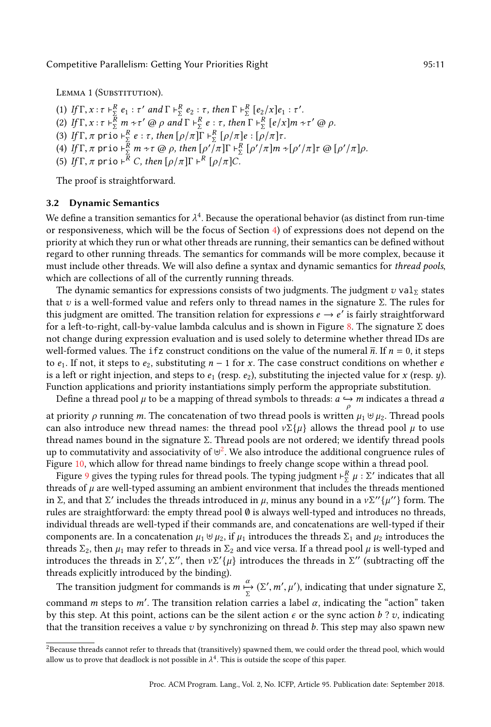<span id="page-10-0"></span>LEMMA 1 (SUBSTITUTION).

- (1) If  $\Gamma$ ,  $x : \tau \vdash^R_{\Sigma}$ <br>(2) If  $\Gamma$ ,  $x : \tau \vdash^R_{R}$  $e_1 : \tau'$  and  $\Gamma \vdash_{\Sigma}^{R} e_2 : \tau$ , then  $\Gamma \vdash_{\Sigma}^{R}$ <br>m  $\tau \tau' \otimes \rho$  and  $\Gamma \vdash^{R} e : \tau$  then  $[e_2/x]e_1 : \tau'.$
- (2) If  $\Gamma$ ,  $x : \tau \vdash_R^R m \overset{\sim}{\sim} \tau' \text{ @ } \rho$  and  $\Gamma \vdash_R^R e : \tau$ , then  $\Gamma \vdash_R^R [e/x] m \overset{\sim}{\sim} \tau' \text{ @ } \rho$ .<br>(3) If  $\Gamma$   $\pi$  prio  $\vdash_R^R e : \tau$ , then  $\lceil \rho / \pi \rceil \Gamma \vdash_R^R \lceil \rho / \pi \rceil e : \lceil \rho / \pi \rceil \tau$ .
- (3) If  $\Gamma$ ,  $\pi$  prio  $\vdash^R_{\Sigma} e : \tau$ , then  $[\rho/\pi] \Gamma \vdash^R_{\Sigma} [\rho/\pi] e : [\rho$ <br>(4) If  $\Gamma$   $\pi$  prio  $\vdash^R$  m  $\star \tau \otimes \circ$ , then  $[\alpha'/\pi] \Gamma \vdash^R [\alpha'/\pi]$  $[\rho/\pi]e : [\rho/\pi]\tau$ .
- (4) If  $\Gamma$ ,  $\pi$  prio  $\vdash_{\Sigma}^{\overline{R}} m \sim \tau \circledcirc \rho$ , then  $[\rho'/\pi] \Gamma \vdash_{\Sigma}^{\overline{R}}$ <br>(5) If  $\Gamma$   $\pi$  prio  $\vdash^{\overline{R}}$  C, then  $[\rho/\pi] \Gamma \vdash^{\overline{R}}$   $[\rho/\pi] C$  $[\rho'/\pi] m \div [\rho'/\pi] \tau \omega [\rho'/\pi] \rho.$
- (5) If  $\Gamma$ ,  $\pi$  prio ⊢ $\overline{R}$  C, then  $[\rho/\pi]\Gamma$  ⊢ $R$   $[\rho/\pi]$ C.

The proof is straightforward.

#### <span id="page-10-2"></span>3.2 Dynamic Semantics

We define a transition semantics for  $\lambda^4$ . Because the operational behavior (as distinct from run-time or responsiveness, which will be the focus of Section [4\)](#page-14-0) of expressions does not depend on the priority at which they run or what other threads are running, their semantics can be defined without regard to other running threads. The semantics for commands will be more complex, because it must include other threads. We will also define a syntax and dynamic semantics for thread pools, which are collections of all of the currently running threads.

The dynamic semantics for expressions consists of two judgments. The judgment v val<sub>N</sub> states that *v* is a well-formed value and refers only to thread names in the signature Σ. The rules for this judgment are omitted. The transition relation for expressions  $e \to e'$  is fairly straightforward for a left-to-right, call-by-value lambda calculus and is shown in Figure [8.](#page-11-0) The signature  $\Sigma$  does not change during expression evaluation and is used solely to determine whether thread IDs are well-formed values. The if z construct conditions on the value of the numeral  $\overline{n}$ . If  $n = 0$ , it steps to  $e_1$ . If not, it steps to  $e_2$ , substituting  $n - 1$  for x. The case construct conditions on whether e is a left or right injection, and steps to  $e_1$  (resp.  $e_2$ ), substituting the injected value for x (resp.  $y$ ). Function applications and priority instantiations simply perform the appropriate substitution.

Define a thread pool  $\mu$  to be a mapping of thread symbols to threads:  $\overrightarrow{a} \rightarrow \overrightarrow{m}$  indicates a thread  $\overrightarrow{a}$ 

at priority  $\rho$  running m. The concatenation of two thread pools is written  $\mu_1 \uplus \mu_2$ . Thread pools can also introduce new thread names: the thread pool  $v\Sigma\{\mu\}$  allows the thread pool  $\mu$  to use thread names bound in the signature  $\Sigma$ . Thread pools are not ordered; we identify thread pools up to commutativity and associativity of  $\forall^2$  $\forall^2$ . We also introduce the additional congruence rules of Figure [10,](#page-11-1) which allow for thread name bindings to freely change scope within a thread pool.

Figure [9](#page-11-2) gives the typing rules for thread pools. The typing judgment  $\vdash^R_\Sigma \mu : \Sigma'$  indicates that all reads of u are well-typed assuming an ambient environment that includes the threads mentioned threads of  $\mu$  are well-typed assuming an ambient environment that includes the threads mentioned in Σ, and that Σ' includes the threads introduced in μ, minus any bound in a νΣ''{μ''} form. The rules are straightforward: the empty thread pool 0 is always well-typed and introduces no threads rules are straightforward: the empty thread pool Ø is always well-typed and introduces no threads, individual threads are well-typed if their commands are, and concatenations are well-typed if their components are. In a concatenation  $\mu_1 \oplus \mu_2$ , if  $\mu_1$  introduces the threads  $\Sigma_1$  and  $\mu_2$  introduces the threads  $\Sigma_2$ , then  $\mu_1$  may refer to threads in  $\Sigma_2$  and vice versa. If a thread pool  $\mu$  is well-typed and introduces the threads in  $\Sigma'$ ,  $\Sigma''$ , then  $v\Sigma'(\mu)$  introduces the threads in  $\Sigma''$  (subtracting off the threads explicitly introduced by the binding)  $\frac{1}{2}$ ,  $\frac{1}{2}$ ,  $\frac{1}{2}$ ,  $\frac{1}{2}$ ,  $\frac{1}{2}$ ,  $\frac{1}{2}$ ,  $\frac{1}{2}$ ,  $\frac{1}{2}$ ,  $\frac{1}{2}$ ,  $\frac{1}{2}$ ,  $\frac{1}{2}$ ,  $\frac{1}{2}$ ,  $\frac{1}{2}$ ,  $\frac{1}{2}$ ,  $\frac{1}{2}$ ,  $\frac{1}{2}$ ,  $\frac{1}{2}$ ,  $\frac{1}{2}$ ,  $\frac{1}{2}$ ,  $\frac{1}{2}$ ,

The transition judgment for commands is  $m \xrightarrow{\alpha} (\Sigma', m', \mu')$ , indicating that under signature  $\Sigma$ , command *m* steps to *m'*. The transition relation carries a label  $\alpha$ , indicating the "action" taken by this step. At this point, actions can be the silent action  $\epsilon$  or the sync action b? v, indicating that the transition receives a value  $v$  by synchronizing on thread  $b$ . This step may also spawn new

<span id="page-10-1"></span><sup>&</sup>lt;sup>2</sup>Because threads cannot refer to threads that (transitively) spawned them, we could order the thread pool, which would allow us to prove that deadlock is not possible in  $\lambda^4$ . This is outside the scope of this paper.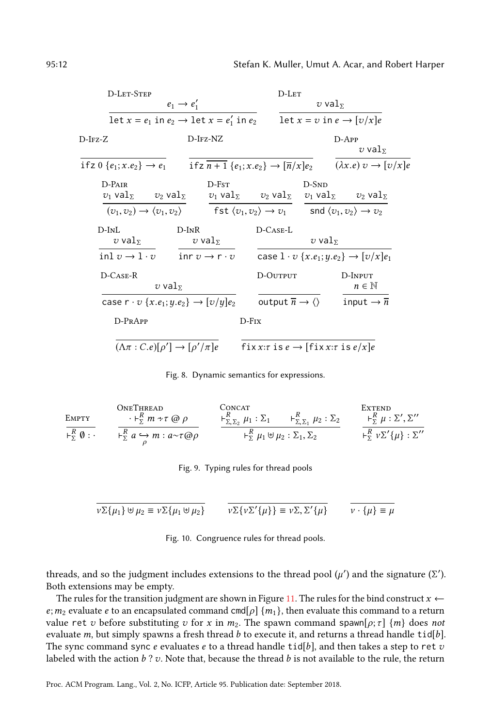<span id="page-11-0"></span>

| D-LET-STEP                                                                                                     |                                                                                                                                                                                                                                                                                     | D-LET                                                  |                                         |                                                                    |
|----------------------------------------------------------------------------------------------------------------|-------------------------------------------------------------------------------------------------------------------------------------------------------------------------------------------------------------------------------------------------------------------------------------|--------------------------------------------------------|-----------------------------------------|--------------------------------------------------------------------|
|                                                                                                                |                                                                                                                                                                                                                                                                                     | $v$ val <sub><math>\bar{x}</math></sub>                |                                         |                                                                    |
|                                                                                                                | let $x = e_1$ in $e_2 \rightarrow$ let $x = e'_1$ in $e_2$ let $x = v$ in $e \rightarrow [v/x]e$                                                                                                                                                                                    |                                                        |                                         |                                                                    |
| $D-I$ FZ-Z                                                                                                     | $D-I$ FZ- $NZ$                                                                                                                                                                                                                                                                      |                                                        |                                         | $D-APP$<br>$v$ val <sub><math>\bar{x}</math></sub>                 |
| if z 0 { $e_1$ ; $x.e_2$ } $\rightarrow e_1$ if z n + 1 { $e_1$ ; $x.e_2$ } $\rightarrow \overline{n}/x$ $e_2$ |                                                                                                                                                                                                                                                                                     |                                                        |                                         | $(\lambda x.e) v \rightarrow [v/x]e$                               |
| $D-PAIR$                                                                                                       | D-Fst<br>$v_1$ val $_\Sigma$ $v_2$ val $_\Sigma$ $v_1$ val $_\Sigma$ $v_2$ val $_\Sigma$ $v_1$ val $_\Sigma$ $v_2$ val $_\Sigma$<br>$(v_1, v_2) \rightarrow \langle v_1, v_2 \rangle$ fst $\langle v_1, v_2 \rangle \rightarrow v_1$ snd $\langle v_1, v_2 \rangle \rightarrow v_2$ |                                                        | $D-SND$                                 |                                                                    |
| $D$ -InL<br>$v$ va $\text{1}_{\Sigma}$                                                                         | $D$ -InR<br>$v$ val <sub><math>\overline{x}</math></sub>                                                                                                                                                                                                                            | $D-CASE-L$                                             | $v$ val <sub><math>\bar{x}</math></sub> |                                                                    |
|                                                                                                                | $\text{inl } v \to 1 \cdot v$ inr $v \to r \cdot v$                                                                                                                                                                                                                                 |                                                        |                                         | case $1 \cdot v \{x.e_1; y.e_2\} \rightarrow [v/x]e_1$             |
| $D-CASE-R$                                                                                                     | $v$ val <sub><math>\bar{x}</math></sub>                                                                                                                                                                                                                                             | D-OUTPUT                                               |                                         | D-INPUT<br>$n \in \mathbb{N}$                                      |
|                                                                                                                | case $\mathsf{r} \cdot v$ { $x.e_1; y.e_2$ } $\rightarrow$ $[v/y]e_2$                                                                                                                                                                                                               |                                                        |                                         | output $\overline{n} \to \langle \rangle$ input $\to \overline{n}$ |
| $D-PRAPP$                                                                                                      |                                                                                                                                                                                                                                                                                     | $D-FIX$                                                |                                         |                                                                    |
|                                                                                                                | $(\Lambda \pi : C.e)[\rho'] \rightarrow [\rho'/\pi]e$                                                                                                                                                                                                                               | $fix x:\tau$ is $e \rightarrow [fix x:\tau$ is $e/x]e$ |                                         |                                                                    |

Fig. 8. Dynamic semantics for expressions.

<span id="page-11-2"></span>

| ENTER                      | ONEThREAD                                                                                                                                                                                                                                                                                                                                                                                                                                                                                                                                                                                                                                                                                                                                                                                                                                                                                                                                                                                                                                                                                                                                                                                                                                            | CONCAT | EXTEND |
|----------------------------|------------------------------------------------------------------------------------------------------------------------------------------------------------------------------------------------------------------------------------------------------------------------------------------------------------------------------------------------------------------------------------------------------------------------------------------------------------------------------------------------------------------------------------------------------------------------------------------------------------------------------------------------------------------------------------------------------------------------------------------------------------------------------------------------------------------------------------------------------------------------------------------------------------------------------------------------------------------------------------------------------------------------------------------------------------------------------------------------------------------------------------------------------------------------------------------------------------------------------------------------------|--------|--------|
| $\frac{F_X}{F_X} \theta :$ | $\frac{F_X^R}{F_X^S} \cdot \frac{F_X^S}{F_X^S} \cdot \frac{F_X^S}{F_X^S} \cdot \frac{F_X^S}{F_X^S} \cdot \frac{F_X^S}{F_X^S} \cdot \frac{F_X^S}{F_X^S} \cdot \frac{F_X^S}{F_X^S} \cdot \frac{F_X^S}{F_X^S} \cdot \frac{F_X^S}{F_X^S} \cdot \frac{F_X^S}{F_X^S} \cdot \frac{F_X^S}{F_X^S} \cdot \frac{F_X^S}{F_X^S} \cdot \frac{F_X^S}{F_X^S} \cdot \frac{F_X^S}{F_X^S} \cdot \frac{F_X^S}{F_X^S} \cdot \frac{F_X^S}{F_X^S} \cdot \frac{F_X^S}{F_X^S} \cdot \frac{F_X^S}{F_X^S} \cdot \frac{F_X^S}{F_X^S} \cdot \frac{F_X^S}{F_X^S} \cdot \frac{F_X^S}{F_X^S} \cdot \frac{F_X^S}{F_X^S} \cdot \frac{F_X^S}{F_X^S} \cdot \frac{F_X^S}{F_X^S} \cdot \frac{F_X^S}{F_X^S} \cdot \frac{F_X^S}{F_X^S} \cdot \frac{F_X^S}{F_X^S} \cdot \frac{F_X^S}{F_X^S} \cdot \frac{F_X^S}{F_X^S} \cdot \frac{F_X^S}{F_X^S} \cdot \frac{F_X^S}{F_X^S} \cdot \frac{F_X^S}{F_X^S} \cdot \frac{F_X^S}{F_X^S} \cdot \frac{F_X^S}{F_X^S} \cdot \frac{F_X^S}{F_X^S} \cdot \frac{F_X^S}{F_X^S} \cdot \frac{F_X^S}{F_X^S} \cdot \frac{F_X^S}{F_X^S} \cdot \frac{F_X^S}{F_X^S} \cdot \frac{F_X^S}{F_X^S} \cdot \frac{F_X^S}{F_X^S} \cdot \frac{F_X^S}{F_X^S} \cdot \frac{F_X^S}{F_X^S} \cdot \frac{F_X^S}{F_X^S} \cdot \frac{F_X^S}{F_X^S} \cdot \frac{F_X^S}{F_X^S} \cdot \frac{$ |        |        |

Fig. 9. Typing rules for thread pools

<span id="page-11-1"></span>
$$
\overline{v\Sigma\{\mu_1\}\uplus\mu_2}\equiv v\Sigma\{\mu_1\uplus\mu_2\}\qquad\overline{v\Sigma\{v\Sigma'\{\mu\}\}}\equiv v\Sigma,\Sigma'\{\mu\}\qquad\overline{v\cdot\{\mu\}}\equiv\mu
$$

Fig. 10. Congruence rules for thread pools.

threads, and so the judgment includes extensions to the thread pool (μ') and the signature (Σ').<br>Both extensions may be empty Both extensions may be empty.

The rules for the transition judgment are shown in Figure [11.](#page-12-0) The rules for the bind construct  $x \leftarrow$ e;  $m_2$  evaluate e to an encapsulated command cmd[ρ] { $m_1$ }, then evaluate this command to a return value ret v before substituting v for x in  $m_2$ . The spawn command spawn[ $\rho$ ;  $\tau$ ] {m} does not evaluate m, but simply spawns a fresh thread b to execute it, and returns a thread handle  $tid[b]$ . The sync command sync e evaluates e to a thread handle tid[b], and then takes a step to ret v labeled with the action  $b$  ?  $v$ . Note that, because the thread  $b$  is not available to the rule, the return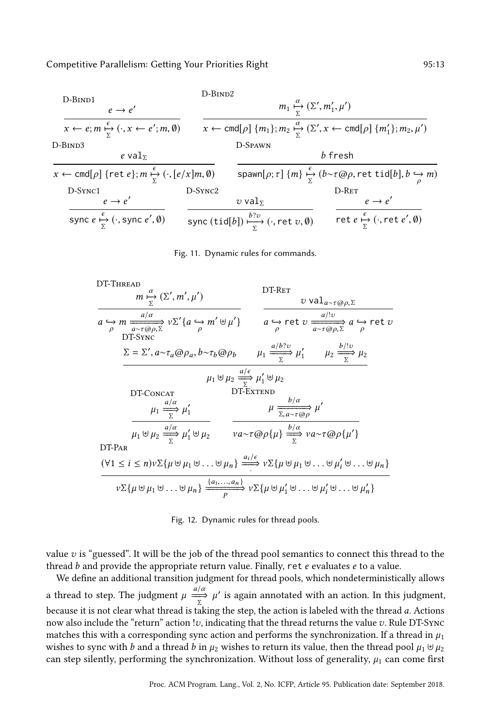<span id="page-12-0"></span>D-BIND1  
\n
$$
e \rightarrow e'
$$
  
\n $x \leftarrow e; m \xrightarrow{\epsilon} (\cdot, x \leftarrow e'; m, \emptyset)$   
\nD-BIND3  
\n $e \lor \text{al}_{\Sigma}$   
\n $x \leftarrow \text{cmd}[p] \{m_1\}; m_2 \xrightarrow{\alpha} (\Sigma', x \leftarrow \text{cmd}[p] \{m'_1\}; m_2, \mu')$   
\nD-BIND3  
\n $e \lor \text{al}_{\Sigma}$   
\n $x \leftarrow \text{cmd}[p] \{\text{ret } e\}; m \xrightarrow{\epsilon} (\cdot, [e/x]m, \emptyset)$   
\nD-SrawN  
\n $b \text{ fresh}$   
\nD-SrawN  
\n $b \text{ fresh}$   
\nD-SrawN  
\n $b \text{ fresh}$   
\nD-SrawN  
\n $b \text{ fresh}$   
\nD-SrawN  
\n $b \text{ fresh}$   
\nD-SrawN  
\nD-SrawN  
\n $b \text{ fresh}$   
\nD-SrawN  
\n $b \text{ fresh}$   
\nD-SrawN  
\n $b \text{ fresh}$   
\nD-SrawN  
\n $b \text{ fresh}$   
\nD-SrawN  
\n $b \text{ fresh}$   
\nD-SrawN  
\n $b \text{ fresh}$   
\n $c \leftarrow \text{cm}(p] \{re \} \{m_1\}; m_2, \mu' \}$   
\n $e \rightarrow e'$   
\n $e \rightarrow e'$   
\n $e \rightarrow e'$   
\n $e \rightarrow e'$   
\n $e \rightarrow e'$   
\n $e \rightarrow e'$   
\n $e \rightarrow e'$   
\n $e \rightarrow e'$   
\n $e \rightarrow e'$   
\n $e \rightarrow e'$   
\n $e \rightarrow e'$   
\n $e \rightarrow e'$   
\n $e \rightarrow e'$   
\n $e \rightarrow e'$   
\n $e \rightarrow e'$   
\n $e \rightarrow e'$   
\n $e \rightarrow e'$   
\n $e \rightarrow e'$   
\n $e \rightarrow e'$   
\n $e \rightarrow e'$   
\n $e \rightarrow e'$   
\n $e \rightarrow e'$   
\n $e \rightarrow e'$   
\n $e \rightarrow e'$ 



| DT-Thread                                                                    | DT-Ret                                                                                                                                                                                         |
|------------------------------------------------------------------------------|------------------------------------------------------------------------------------------------------------------------------------------------------------------------------------------------|
| $m \stackrel{\alpha}{\mapsto} (\Sigma', m', \mu')$                           | v val <sub>a<math>\sim \tau(\omega \rho, \Sigma)</math></sub>                                                                                                                                  |
| DT-Sync                                                                      | $a \hookrightarrow m \xrightarrow{a/\alpha} v\Sigma' \{a \hookrightarrow m' \uplus \mu'\}$ $a \hookrightarrow \text{ret } v \xrightarrow{a/\nmid v} a \hookrightarrow \text{ret } v$           |
| $\Sigma = \Sigma', a \sim \tau_a \omega \rho_a, b \sim \tau_b \omega \rho_b$ | $\mu_1 \xrightarrow[\Sigma]{a/b?v} \mu_1'$ $\mu_2 \xrightarrow[\Sigma]{b/ v} \mu_2$                                                                                                            |
|                                                                              | $\mu_1 \uplus \mu_2 \stackrel{a/\epsilon}{\Longrightarrow} \mu'_1 \uplus \mu_2$                                                                                                                |
| DT-CONCAT                                                                    | DT-Extend                                                                                                                                                                                      |
| $\mu_1 \stackrel{a/\alpha}{\Longrightarrow} \mu'_1$                          | $\mu \xrightarrow[\sum . a \sim \tau @ \rho]{b/\alpha} \mu'$                                                                                                                                   |
|                                                                              | $\mu_1 \uplus \mu_2 \stackrel{a/\alpha}{\Longrightarrow} \mu_1' \uplus \mu_2$ $va \sim \tau \omega \rho {\mu} \stackrel{b/\alpha}{\Longrightarrow} va \sim \tau \omega \rho {\mu'}$            |
| DT-PAR                                                                       |                                                                                                                                                                                                |
|                                                                              | $(\forall 1 \leq i \leq n) v \Sigma {\mu \oplus \mu_1 \oplus \ldots \oplus \mu_n} \stackrel{a_i}{\implies} v \Sigma {\mu \oplus \mu_1 \oplus \ldots \oplus \mu'_i \oplus \ldots \oplus \mu_n}$ |
|                                                                              | $\nu\Sigma\{\mu\uplus\mu_1\uplus\ldots\uplus\mu_n\}\stackrel{\{a_1,\ldots,a_n\}}{\longrightarrow}\nu\Sigma\{\mu\uplus\mu_1'\uplus\ldots\uplus\mu_i'\uplus\ldots\uplus\mu_n'\}$                 |

Fig. 12. Dynamic rules for thread pools.

value  $v$  is "guessed". It will be the job of the thread pool semantics to connect this thread to the thread  $b$  and provide the appropriate return value. Finally, ret  $e$  evaluates  $e$  to a value.

We define an additional transition judgment for thread pools, which nondeterministically allows a thread to step. The judgment  $\mu \stackrel{a/\alpha}{\Longrightarrow} \mu'$  is again annotated with an action. In this judgment, because it is not clear what thread is taking the step, the action is labeled with the thread  $a$ . Actions now also include the "return" action !v, indicating that the thread returns the value  $v$ . Rule DT-Sync matches this with a corresponding sync action and performs the synchronization. If a thread in  $\mu_1$ wishes to sync with b and a thread b in  $\mu_2$  wishes to return its value, then the thread pool  $\mu_1 \oplus \mu_2$ can step silently, performing the synchronization. Without loss of generality,  $\mu_1$  can come first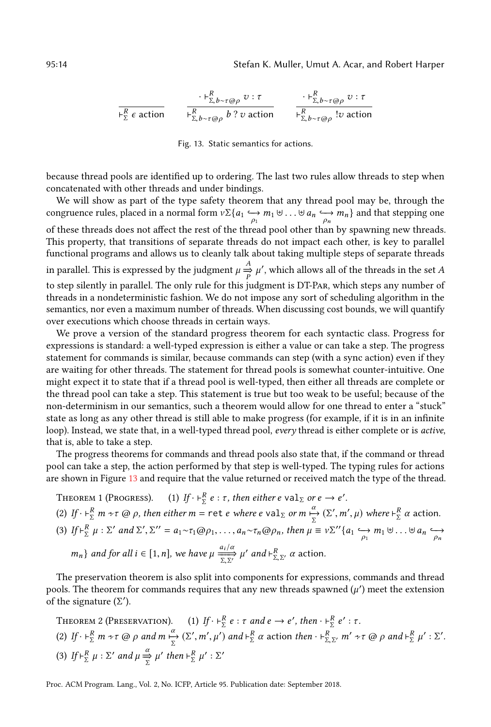<span id="page-13-0"></span>⊢ R ϵ action · ⊢R Σ,b∼τ @ρ v : τ ⊢ R Σ,b∼τ @ρ b ? v action · ⊢R Σ,b∼τ @ρ v : τ ⊢ R Σ,b∼τ @ρ !v action

Fig. 13. Static semantics for actions.

because thread pools are identified up to ordering. The last two rules allow threads to step when concatenated with other threads and under bindings.

We will show as part of the type safety theorem that any thread pool may be, through the congruence rules, placed in a normal form  $v \Sigma \{a_1 \leftrightarrow m_1 \uplus \ldots \uplus a_n \leftrightarrow m_n \}$  and that stepping one of these threads does not affect the rest of the thread pool other than by spawning new threads. This property, that transitions of separate threads do not impact each other, is key to parallel functional programs and allows us to cleanly talk about taking multiple steps of separate threads in parallel. This is expressed by the judgment  $\mu \stackrel{A}{\Rightarrow} \mu'$ , which allows all of the threads in the set A to step silently in parallel. The only rule for this judgment is DT-PAR, which steps any number of threads in a nondeterministic fashion. We do not impose any sort of scheduling algorithm in the semantics, nor even a maximum number of threads. When discussing cost bounds, we will quantify over executions which choose threads in certain ways.

We prove a version of the standard progress theorem for each syntactic class. Progress for expressions is standard: a well-typed expression is either a value or can take a step. The progress statement for commands is similar, because commands can step (with a sync action) even if they are waiting for other threads. The statement for thread pools is somewhat counter-intuitive. One might expect it to state that if a thread pool is well-typed, then either all threads are complete or the thread pool can take a step. This statement is true but too weak to be useful; because of the non-determinism in our semantics, such a theorem would allow for one thread to enter a "stuck" state as long as any other thread is still able to make progress (for example, if it is in an infinite loop). Instead, we state that, in a well-typed thread pool, every thread is either complete or is active, that is, able to take a step.

The progress theorems for commands and thread pools also state that, if the command or thread pool can take a step, the action performed by that step is well-typed. The typing rules for actions are shown in Figure [13](#page-13-0) and require that the value returned or received match the type of the thread.

THEOREM 1 (PROGRESS). (1) If  $\cdot \vdash_{\Sigma}^{R} e : \tau$ , then either e val<sub> $\Sigma$ </sub> or  $e \rightarrow e'$ . (2) If  $\cdot$   $\vdash_{\Sigma}^{R}$  m ~  $\tau$  @  $\rho$ , then either m = ret e where e val<sub> $\Sigma$ </sub> or m  $\stackrel{\alpha}{\mapsto}$   $(\Sigma', m', \mu)$  where  $\vdash_{\Sigma}^{R}$   $\alpha$  action. (3) If  $\vdash_{\Sigma}^{R} \mu : \Sigma'$  and  $\Sigma', \Sigma'' = a_1 \sim \tau_1 \omega \rho_1, \ldots, a_n \sim \tau_n \omega \rho_n$ , then  $\mu \equiv v \Sigma'' \{a_1 \leftrightarrow m_1 \uplus ...$  $\sum'' = a_1 \sim \tau_1 \omega \rho_1, \ldots, a_n \sim \tau_n \omega \rho_n$ , then  $\mu \equiv \nu \sum'' \{a_1 \leftrightarrow m_1 \uplus \ldots \uplus a_n \leftrightarrow m_1 \downarrow \cdots \downarrow a_n \downarrow \rightarrow m_1 \downarrow \cdots \downarrow a_n \downarrow \rightarrow m_1 \downarrow \cdots \downarrow a_n$  $m_n$ } and for all  $i \in [1, n]$ , we have  $\mu \xrightarrow[\Sigma, \Sigma']{} \mu'$  and  $\vdash^R_{\Sigma, \Sigma}$ Σ,Σ ,  $\alpha$  action.

The preservation theorem is also split into components for expressions, commands and thread pools. The theorem for commands requires that any new threads spawned  $(\mu')$  meet the extension of the signature  $(\Sigma')$ .

THEOREM 2 (PRESERVATION). (1)  $If \tbinom{F}{\Sigma}$  $e : \tau \text{ and } e \rightarrow e', \text{ then } \cdot \vdash_{\Sigma}^{R}$  $e'$  :  $\tau$ . (2) If  $\cdot$   $\vdash_{\Sigma}^{R} m \rightsquigarrow \tau \text{ @ } \rho \text{ and } m \xrightarrow{\alpha} (\Sigma', m', \mu') \text{ and } \vdash_{\Sigma}^{R} \alpha \text{ action then } \cdot \vdash_{\Sigma, \Sigma}^{R}$ (3) If  $\vdash_{\Sigma}^{R} \mu : \Sigma'$  and  $\mu \stackrel{\alpha}{\Rightarrow} \mu'$  then  $\vdash_{\Sigma}^{R}$ ,  $m' \sim \tau \omega \rho$  and  $\vdash_{\Sigma}^{R}$  $\mu':\Sigma'.$  $\mu' : \Sigma'$ 

Proc. ACM Program. Lang., Vol. 2, No. ICFP, Article 95. Publication date: September 2018.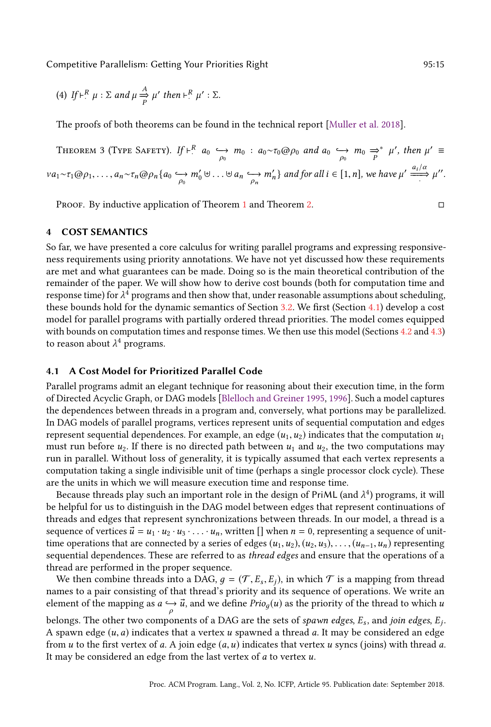(4) If 
$$
\vdash^R_\cdot \mu : \Sigma
$$
 and  $\mu \stackrel{A}{\Rightarrow} \mu'$  then  $\vdash^R_\cdot \mu' : \Sigma$ .

The proofs of both theorems can be found in the technical report [\[Muller et al.](#page-28-13) [2018\]](#page-28-13).

<span id="page-14-2"></span>THEOREM 3 (TYPE SAFETY). If  $\vdash^R_a a_0 \leftrightarrow m_0 : a_0 \sim \tau_0 \omega \rho_0$  and  $a_0 \leftrightarrow m_0 \Rightarrow^* \mu'$ , then  $\mu' \equiv$  $va_1 \sim \tau_1 \omega \rho_1, \ldots, a_n \sim \tau_n \omega \rho_n \{a_0 \leftrightarrow m'_0 \uplus \ldots \uplus a_n \leftrightarrow m'_n \}$  and for all  $i \in [1, n]$ , we have  $\mu' \stackrel{a_i/\alpha}{\Longrightarrow} \mu''$ .

Proof. By inductive application of Theorem [1](#page-0-0) and Theorem [2.](#page-0-0) □

## <span id="page-14-0"></span>4 COST SEMANTICS

So far, we have presented a core calculus for writing parallel programs and expressing responsiveness requirements using priority annotations. We have not yet discussed how these requirements are met and what guarantees can be made. Doing so is the main theoretical contribution of the remainder of the paper. We will show how to derive cost bounds (both for computation time and response time) for  $\lambda^4$  programs and then show that, under reasonable assumptions about scheduling, these bounds hold for the dynamic semantics of Section [3.2.](#page-10-2) We first (Section [4.1\)](#page-14-1) develop a cost model for parallel programs with partially ordered thread priorities. The model comes equipped with bounds on computation times and response times. We then use this model (Sections [4.2](#page-17-0) and [4.3\)](#page-20-0) to reason about  $\lambda^4$  programs.

## <span id="page-14-1"></span>4.1 A Cost Model for Prioritized Parallel Code

Parallel programs admit an elegant technique for reasoning about their execution time, in the form of Directed Acyclic Graph, or DAG models [\[Blelloch and Greiner](#page-27-0) [1995,](#page-27-0) [1996\]](#page-27-1). Such a model captures the dependences between threads in a program and, conversely, what portions may be parallelized. In DAG models of parallel programs, vertices represent units of sequential computation and edges represent sequential dependences. For example, an edge  $(u_1, u_2)$  indicates that the computation  $u_1$ must run before  $u_2$ . If there is no directed path between  $u_1$  and  $u_2$ , the two computations may run in parallel. Without loss of generality, it is typically assumed that each vertex represents a computation taking a single indivisible unit of time (perhaps a single processor clock cycle). These are the units in which we will measure execution time and response time.

Because threads play such an important role in the design of PriML (and  $\lambda^4$ ) programs, it will be helpful for us to distinguish in the DAG model between edges that represent continuations of threads and edges that represent synchronizations between threads. In our model, a thread is a sequence of vertices  $\vec{u} = u_1 \cdot u_2 \cdot u_3 \cdot \ldots \cdot u_n$ , written [] when  $n = 0$ , representing a sequence of unittime operations that are connected by a series of edges  $(u_1, u_2), (u_2, u_3), \ldots, (u_{n-1}, u_n)$  representing sequential dependences. These are referred to as thread edges and ensure that the operations of a thread are performed in the proper sequence.

We then combine threads into a DAG,  $g = (\mathcal{T}, E_s, E_j)$ , in which  $\mathcal{T}$  is a mapping from thread<br>mes to a pair consisting of that thread's priority and its sequence of operations. We write an names to a pair consisting of that thread's priority and its sequence of operations. We write an element of the mapping as  $a \leftrightarrow \vec{u}$ , and we define  $Priog(u)$  as the priority of the thread to which u belongs. The other two components of a DAG are the sets of *spawn edges, E<sub>s</sub>*, and *join edges, E<sub>j</sub>*. A spawn edge  $(u, a)$  indicates that a vertex u spawned a thread a. It may be considered an edge from u to the first vertex of a. A join edge  $(a, u)$  indicates that vertex u syncs (joins) with thread a. It may be considered an edge from the last vertex of  $a$  to vertex  $u$ .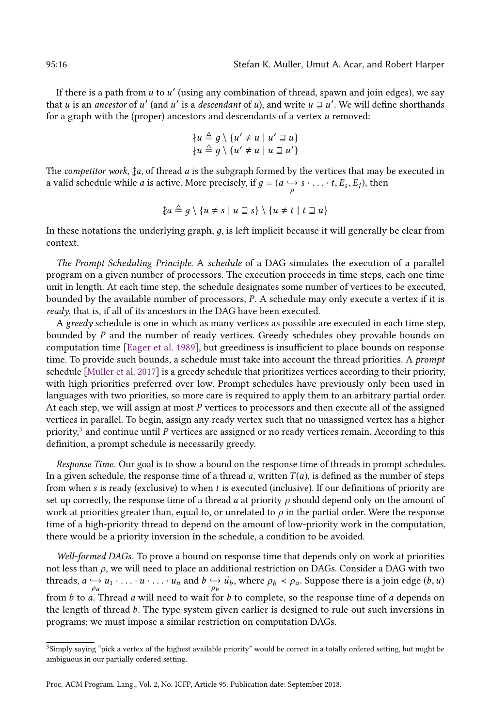If there is a path from  $u$  to  $u'$  (using any combination of thread, spawn and join edges), we say that u is an ancestor of u' (and u' is a descendant of u), and write  $u\sqsupseteq u'$ . We will define shorthands for a graph with the (proper) ancestors and descendants of a vertex  $u$  removed:

$$
\hat{\uparrow} u \triangleq g \setminus \{u' \neq u \mid u' \sqsupseteq u\}
$$
  

$$
\downarrow u \triangleq g \setminus \{u' \neq u \mid u \sqsupseteq u'\}
$$

The competitor work,  $\mathfrak{z}_a$ , of thread a is the subgraph formed by the vertices that may be executed in a valid schedule while *a* is active. More precisely, if  $g = (a \leftrightarrow s \cdot \dots \cdot t, E_s, E_j)$ , then

$$
\mathcal{Z}a \triangleq g \setminus \{u \neq s \mid u \sqsupseteq s\} \setminus \{u \neq t \mid t \sqsupseteq u\}
$$

In these notations the underlying graph, д, is left implicit because it will generally be clear from context.

The Prompt Scheduling Principle. A schedule of a DAG simulates the execution of a parallel program on a given number of processors. The execution proceeds in time steps, each one time unit in length. At each time step, the schedule designates some number of vertices to be executed, bounded by the available number of processors, P. A schedule may only execute a vertex if it is ready, that is, if all of its ancestors in the DAG have been executed.

A greedy schedule is one in which as many vertices as possible are executed in each time step, bounded by P and the number of ready vertices. Greedy schedules obey provable bounds on computation time [\[Eager et al.](#page-28-6) [1989\]](#page-28-6), but greediness is insufficient to place bounds on response time. To provide such bounds, a schedule must take into account the thread priorities. A *prompt* schedule [\[Muller et al.](#page-28-8) [2017\]](#page-28-8) is a greedy schedule that prioritizes vertices according to their priority, with high priorities preferred over low. Prompt schedules have previously only been used in languages with two priorities, so more care is required to apply them to an arbitrary partial order. At each step, we will assign at most P vertices to processors and then execute all of the assigned vertices in parallel. To begin, assign any ready vertex such that no unassigned vertex has a higher priority,<sup>[3](#page-15-0)</sup> and continue until P vertices are assigned or no ready vertices remain. According to this definition, a prompt schedule is necessarily greedy.

Response Time. Our goal is to show a bound on the response time of threads in prompt schedules. In a given schedule, the response time of a thread a, written  $T(a)$ , is defined as the number of steps from when s is ready (exclusive) to when  $t$  is executed (inclusive). If our definitions of priority are set up correctly, the response time of a thread a at priority  $\rho$  should depend only on the amount of work at priorities greater than, equal to, or unrelated to  $\rho$  in the partial order. Were the response time of a high-priority thread to depend on the amount of low-priority work in the computation, there would be a priority inversion in the schedule, a condition to be avoided.

Well-formed DAGs. To prove a bound on response time that depends only on work at priorities not less than  $\rho$ , we will need to place an additional restriction on DAGs. Consider a DAG with two threads,  $a \leftrightarrow u_1 \cdot \ldots \cdot u \cdot \ldots \cdot u_n$  and  $b \leftrightarrow \vec{u}_b$ , where  $\rho_b \prec \rho_a$ . Suppose there is a join edge  $(b, u)$ <br>from h to a Thread a will need to weit for h to complete so the reponse time of a depends on from  $b$  to  $a$ . Thread  $a$  will need to wait for  $b$  to complete, so the response time of  $a$  depends on the length of thread b. The type system given earlier is designed to rule out such inversions in programs; we must impose a similar restriction on computation DAGs.

<span id="page-15-0"></span> $^3$  Simply saying "pick a vertex of the highest available priority" would be correct in a totally ordered setting, but might be ambiguous in our partially ordered setting.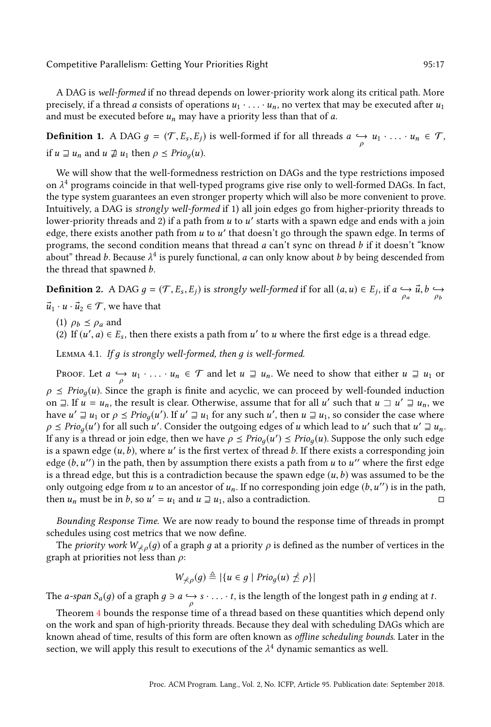A DAG is well-formed if no thread depends on lower-priority work along its critical path. More precisely, if a thread a consists of operations  $u_1 \cdot \ldots \cdot u_n$ , no vertex that may be executed after  $u_1$ and must be executed before  $u_n$  may have a priority less than that of a.

**Definition 1.** A DAG  $g = (\mathcal{T}, E_s, E_j)$  is well-formed if for all threads  $a \leftrightarrow u_1 \cdots u_n \in \mathcal{T}$ ,<br>if  $y \to a$  and  $y \to a$ , then  $a \neq P$  is  $(a)$ . if  $u \supseteq u_n$  and  $u \not\supseteq u_1$  then  $\rho \leq Prio_a(u)$ .

We will show that the well-formedness restriction on DAGs and the type restrictions imposed on λ <sup>4</sup> programs coincide in that well-typed programs give rise only to well-formed DAGs. In fact, the type system guarantees an even stronger property which will also be more convenient to prove. Intuitively, a DAG is strongly well-formed if 1) all join edges go from higher-priority threads to lower-priority threads and 2) if a path from  $u$  to  $u'$  starts with a spawn edge and ends with a join edge, there exists another path from u to u' that doesn't go through the spawn edge. In terms of programs, the second condition means that thread  $a$  can't sync on thread  $b$  if it doesn't "know about" thread b. Because  $\lambda^4$  is purely functional, a can only know about b by being descended from the thread that spawned b.

**Definition 2.** A DAG  $g = (\mathcal{T}, E_s, E_j)$  is strongly well-formed if for all  $(a, u) \in E_j$ , if  $a \leftrightarrow \vec{u}, b \leftrightarrow \vec{e}$ <br>  $\Rightarrow a \cdot \vec{v} = \vec{e} \cdot \vec{v}$  and leave that  $\vec{u}_1 \cdot u \cdot \vec{u}_2 \in \mathcal{T}$ , we have that

- (1)  $\rho_b \leq \rho_a$  and
- (2) If  $(u', a) \in E_s$ , then there exists a path from  $u'$  to  $u$  where the first edge is a thread edge.

<span id="page-16-0"></span>LEMMA 4.1. If  $q$  is strongly well-formed, then  $q$  is well-formed.

PROOF. Let  $a \leftrightarrow u_1 \cdot \ldots \cdot u_n \in \mathcal{T}$  and let  $u \sqsupseteq u_n$ . We need to show that either  $u \sqsupseteq u_1$  or  $\rho \leq Pri_{q}(u)$ . Since the graph is finite and acyclic, we can proceed by well-founded induction on  $\exists$ . If  $u = u_n$ , the result is clear. Otherwise, assume that for all u' such that  $u \exists u' \exists u_n$ , we have  $u' \exists u$ , and  $v' \exists u' \exists u' \exists u' \exists u'$ , for any such  $u'$ , than  $u \exists u$ , so consider the secondary have  $u' \sqsupseteq u_1$  or  $\rho \leq \text{Proj}(u')$ . If  $u' \sqsupseteq u_1$  for any such  $u'$ , then  $u \sqsupseteq u_1$ , so consider the case where  $\rho \leq Priog(u')$  for all such u'. Consider the outgoing edges of u which lead to u' such that  $u' \sqsupseteq u_n$ .<br>If eave is a thread or join adge, then we have  $g \leq Pri g(u') \leq Pri g(u)$ . Surpress the only such adge. If any is a thread or join edge, then we have  $\rho \leq \text{Proj}(u') \leq \text{Proj}(u)$ . Suppose the only such edge<br>is a group odge  $(u, h)$  where  $u'$  is the first vertex of thread h. If there exists a genus partial is in is a spawn edge  $(u, b)$ , where u' is the first vertex of thread b. If there exists a corresponding join edge  $(h, u'')$  in the path then by assumption there exists a path from u to u'' where the first edge edge  $(b, u'')$  in the path, then by assumption there exists a path from u to u'' where the first edge<br>is a thread edge, but this is a contradiction because the spawn edge  $(u, h)$  was assumed to be the is a thread edge, but this is a contradiction because the spawn edge  $(u, b)$  was assumed to be the only outgoing edge from u to an ancestor of  $u_n$ . If no corresponding join edge  $(b, u'')$  is in the path, then u, must be in h, so  $u' = u_0$  and  $u \exists u_0$  also a contradiction then  $u_n$  must be in b, so  $u' = u_1$  and  $u \supseteq u_1$ , also a contradiction.  $\Box$ 

Bounding Response Time. We are now ready to bound the response time of threads in prompt schedules using cost metrics that we now define.

The *priority work*  $W_{\npreceq\rho}(g)$  of a graph g at a priority  $\rho$  is defined as the number of vertices in the graph at priorities not less than  $\rho$ :

$$
W_{\nleq \rho}(g) \triangleq |\{u \in g \mid \text{Prio}_g(u) \nleq \rho\}|
$$

The a-span  $S_a(g)$  of a graph  $g \ni a \mapsto s \cdot \ldots \cdot t$ , is the length of the longest path in  $g$  ending at  $t$ .<br>Theorem 4 hounds the recognes time of a three best on these quantities which depend on

Theorem [4](#page-17-1) bounds the response time of a thread based on these quantities which depend only on the work and span of high-priority threads. Because they deal with scheduling DAGs which are known ahead of time, results of this form are often known as offline scheduling bounds. Later in the section, we will apply this result to executions of the  $\lambda^4$  dynamic semantics as well.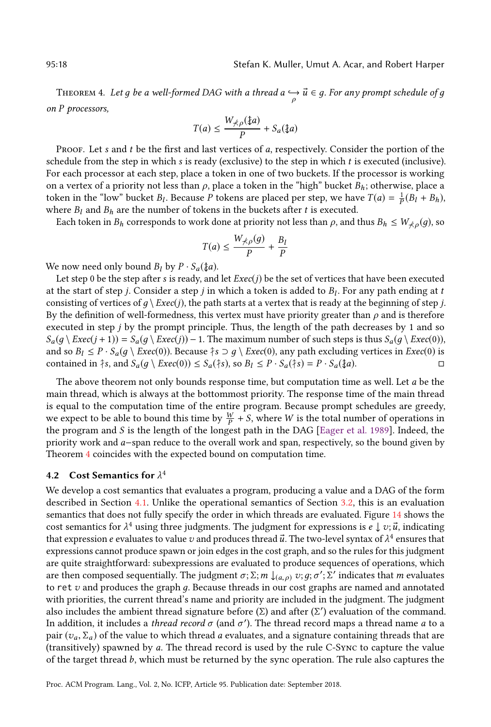<span id="page-17-1"></span>THEOREM 4. Let g be a well-formed DAG with a thread  $a \leftrightarrow \vec{u} \in g$ . For any prompt schedule of g<br>P processors on P processors,

$$
T(a) \le \frac{W_{\npreceq \rho}(\mathcal{L}a)}{P} + S_a(\mathcal{L}a)
$$

Proof. Let s and t be the first and last vertices of  $a$ , respectively. Consider the portion of the schedule from the step in which s is ready (exclusive) to the step in which  $t$  is executed (inclusive). For each processor at each step, place a token in one of two buckets. If the processor is working on a vertex of a priority not less than  $\rho$ , place a token in the "high" bucket  $B_h$ ; otherwise, place a token in the "low" bucket  $B_l$ . Because P tokens are placed per step, we have  $T(a) = \frac{1}{P}(B_l + B_h)$ , where  $B_l$  and  $B_h$  are the number of tokens in the buckets after t is executed.

Each token in  $B_h$  corresponds to work done at priority not less than  $\rho$ , and thus  $B_h \leq W_{\not\prec \rho}(g)$ , so

$$
T(a) \le \frac{W_{\neq \rho}(g)}{P} + \frac{B_l}{P}
$$

We now need only bound  $B_l$  by  $P \cdot S_a(\frac{1}{k}a)$ .

Let step 0 be the step after s is ready, and let  $Exec(j)$  be the set of vertices that have been executed at the start of step *j*. Consider a step *j* in which a token is added to  $B_l$ . For any path ending at t consisting of vertices of  $q \setminus Excel(j)$ , the path starts at a vertex that is ready at the beginning of step j. By the definition of well-formedness, this vertex must have priority greater than  $\rho$  and is therefore executed in step  $j$  by the prompt principle. Thus, the length of the path decreases by 1 and so  $S_a(g \setminus \text{Exec}(j + 1)) = S_a(g \setminus \text{Exec}(j)) - 1$ . The maximum number of such steps is thus  $S_a(g \setminus \text{Exec}(0))$ , and so  $B_l \le P \cdot S_a(g \setminus \text{Exec}(0))$ . Because  $\hat{\tau}s \supset g \setminus \text{Exec}(0)$ , any path excluding vertices in  $\text{Exec}(0)$  is contained in  $\hat{\tau}s$ , and  $S_a(g \setminus \text{Exec}(0)) \le S_a(\hat{\tau}s)$ , so  $B_l \le P \cdot S_a(\hat{\tau}s) = P \cdot S_a(\hat{\tau}a)$ . contained in  $\hat{}s$ , and  $S_a(g \setminus E \text{vec}(0)) \leq S_a(\hat{}s)$ , so  $B_l \leq P \cdot S_a(\hat{}s) = P \cdot S_a(\hat{}s)$ .

The above theorem not only bounds response time, but computation time as well. Let a be the main thread, which is always at the bottommost priority. The response time of the main thread is equal to the computation time of the entire program. Because prompt schedules are greedy, we expect to be able to bound this time by  $\frac{W}{p} + S$ , where W is the total number of operations in the program and S is the length of the longest path in the DAG [\[Eager et al.](#page-28-6) [1989\]](#page-28-6). Indeed, the priority work and a−span reduce to the overall work and span, respectively, so the bound given by Theorem [4](#page-17-1) coincides with the expected bound on computation time.

## <span id="page-17-0"></span>4.2 Cost Semantics for  $\lambda^4$

We develop a cost semantics that evaluates a program, producing a value and a DAG of the form described in Section [4.1.](#page-14-1) Unlike the operational semantics of Section [3.2,](#page-10-2) this is an evaluation semantics that does not fully specify the order in which threads are evaluated. Figure [14](#page-18-0) shows the cost semantics for  $\lambda^4$  using three judgments. The judgment for expressions is  $e \downarrow v$ ;  $\vec{u}$ , indicating that expression e evaluates to value v and produces thread  $\vec{u}$ . The two-level syntax of  $\lambda^4$  ensures that expressions cannot produce spawn or join edges in the cost graph, and so the rules for this judgment are quite straightforward: subexpressions are evaluated to produce sequences of operations, which are then composed sequentially. The judgment  $\sigma$ ;  $\Sigma$ ;  $m \downarrow_{(a,\rho)} v$ ;  $g$ ;  $\sigma'$ ;  $\Sigma'$  indicates that m evaluates to ret  $v$  and produces the graph  $g$ . Because threads in our cost graphs are named and annotated with priorities, the current thread's name and priority are included in the judgment. The judgment also includes the ambient thread signature before  $(\Sigma)$  and after  $(\Sigma')$  evaluation of the command.<br>In addition, it includes a *thread record*  $\sigma$  (and  $\sigma'$ ). The thread record mans a thread name *a* to a In addition, it includes a *thread record* σ (and σ'). The thread record maps a thread name *a* to a pair ( $v_a$ ,  $\Sigma_a$ ) of the value to which thread a evaluates, and a signature containing threads that are (transitively) spawned by a. The thread record is used by the rule C-Sync to capture the value of the target thread  $b$ , which must be returned by the sync operation. The rule also captures the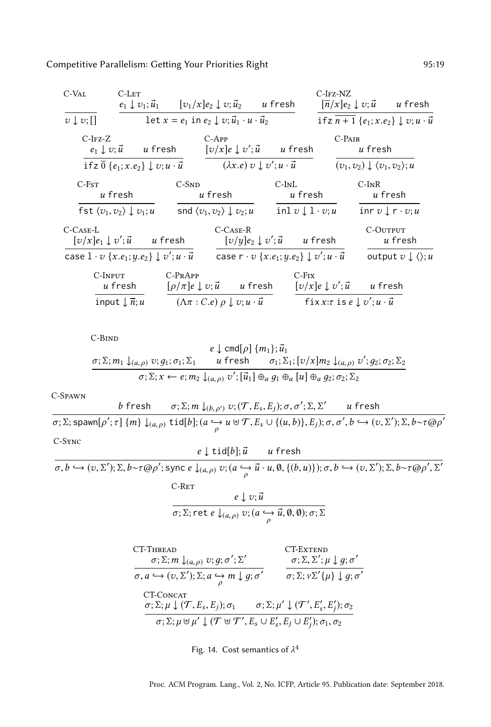<span id="page-18-0"></span>C-VAL  
\n
$$
\frac{c \cdot \text{Uz}}{v \downarrow v; \downarrow} \quad \frac{c \cdot \text{Iz} \cdot \text{Vz}}{v \downarrow v; \downarrow} \quad \frac{c \cdot \text{Iz} \cdot \text{Vz}}{v \downarrow v; \downarrow} \quad \frac{c \cdot \text{Iz} \cdot \text{Vz}}{v \downarrow v; \downarrow}
$$
\n
$$
\frac{c \cdot \text{Iz} \cdot \text{Vz}}{v \downarrow v; \downarrow}
$$
\n
$$
\frac{c \cdot \text{Iz} \cdot \text{Vz}}{v \downarrow v; \downarrow}
$$
\n
$$
\frac{c \cdot \text{Iz} \cdot \text{Vz}}{v \downarrow v; \downarrow}
$$
\n
$$
\frac{c \cdot \text{Iz} \cdot \text{Vz}}{v \downarrow v; \downarrow}
$$
\n
$$
\frac{c \cdot \text{Iz} \cdot \text{Vz}}{v \downarrow v; \downarrow}
$$
\n
$$
\frac{c \cdot \text{Iz} \cdot \text{Vz}}{v \downarrow v; \downarrow}
$$
\n
$$
\frac{c \cdot \text{Iz} \cdot \text{Vz}}{v \downarrow v; \downarrow}
$$
\n
$$
\frac{c \cdot \text{Iz} \cdot \text{Vz}}{v \downarrow v; \downarrow}
$$
\n
$$
\frac{c \cdot \text{Iz} \cdot \text{Vz}}{v \downarrow v; \downarrow}
$$
\n
$$
\frac{c \cdot \text{Iz} \cdot \text{Vz}}{v \downarrow v; \downarrow}
$$
\n
$$
\frac{c \cdot \text{Iz} \cdot \text{Vz}}{v \downarrow v; \downarrow}
$$
\n
$$
\frac{c \cdot \text{Iz} \cdot \text{Vz}}{v \downarrow v; \downarrow}
$$
\n
$$
\frac{c \cdot \text{Iz} \cdot \text{Vz}}{v \downarrow v; \downarrow}
$$
\n
$$
\frac{c \cdot \text{Iz} \cdot \text{Vz}}{v \downarrow v; \downarrow}
$$
\n
$$
\frac{c \cdot \text{Iz} \cdot \text{Vz}}{v \downarrow v; \downarrow}
$$
\n
$$
\frac{c \cdot \text{Iz} \cdot \text{Vz}}{v \downarrow v; \downarrow}
$$
\n<math display="block</p>

$$
\frac{\sigma; \Sigma; \mu \downarrow (\mathcal{T}, E_s, E_j); \sigma_1 \qquad \sigma; \Sigma; \mu' \downarrow (\mathcal{T}', E'_s, E'_j); \sigma_2}{\sigma; \Sigma; \mu \uplus \mu' \downarrow (\mathcal{T} \uplus \mathcal{T}', E_s \cup E'_s, E_j \cup E'_j); \sigma_1, \sigma_2}
$$



Proc. ACM Program. Lang., Vol. 2, No. ICFP, Article 95. Publication date: September 2018.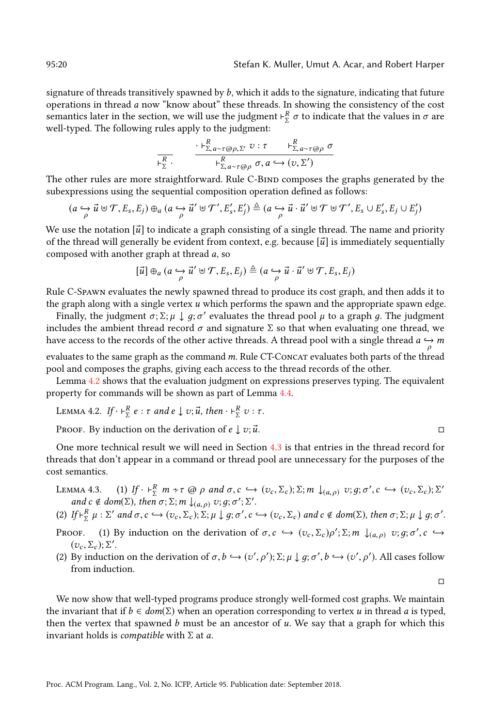signature of threads transitively spawned by  $b$ , which it adds to the signature, indicating that future operations in thread a now "know about" these threads. In showing the consistency of the cost semantics later in the section, we will use the judgment  $\vdash^R_{\Sigma} \sigma$  to indicate that the values in  $\sigma$  are well-typed. The following rules apply to the judgment:

$$
\frac{\cdot F_{\Sigma,a\sim\tau\circledcirc\rho,\Sigma'}^R \circ \tau \quad F_{\Sigma,a\sim\tau\circledcirc\rho}^R \sigma}{F_{\Sigma,a\sim\tau\circledcirc\rho}^R \sigma,a \hookrightarrow (v,\Sigma')}
$$

The other rules are more straightforward. Rule C-BIND composes the graphs generated by the subexpressions using the sequential composition operation defined as follows:

$$
(a \leftrightarrow \vec{u} \oplus \mathcal{T}, E_s, E_j) \oplus_a (a \leftrightarrow \vec{u}' \oplus \mathcal{T}', E'_s, E'_j) \triangleq (a \leftrightarrow \vec{u} \cdot \vec{u}' \oplus \mathcal{T} \oplus \mathcal{T}', E_s \cup E'_s, E_j \cup E'_j)
$$

We use the notation  $\left[\vec{u}\right]$  to indicate a graph consisting of a single thread. The name and priority of the thread will generally be evident from context, e.g. because  $[\vec{u}]$  is immediately sequentially composed with another graph at thread a, so

$$
[\vec{u}]\oplus_a (a \hookrightarrow \vec{u}' \uplus \mathcal{T}, E_s, E_j) \triangleq (a \hookrightarrow \vec{u} \cdot \vec{u}' \uplus \mathcal{T}, E_s, E_j)
$$

Rule C-Spawn evaluates the newly spawned thread to produce its cost graph, and then adds it to the graph along with a single vertex  $u$  which performs the spawn and the appropriate spawn edge.

Finally, the judgment  $\sigma$ ;  $\Sigma$ ;  $\mu \downarrow g$ ;  $\sigma'$  evaluates the thread pool  $\mu$  to a graph g. The judgment includes the ambient thread record  $\sigma$  and signature  $\Sigma$  so that when evaluating one thread, we have access to the records of the other active threads. A thread pool with a single thread  $a \leftrightarrow m$ <br>methods to the same graph as the sammand in Puls CT Coverty avalyties heth parts of the thread

evaluates to the same graph as the command  $m$ . Rule CT-CONCAT evaluates both parts of the thread pool and composes the graphs, giving each access to the thread records of the other.

Lemma [4.2](#page-19-0) shows that the evaluation judgment on expressions preserves typing. The equivalent property for commands will be shown as part of Lemma [4.4.](#page-20-1)

<span id="page-19-0"></span>LEMMA 4.2. If  $\cdot \vdash^R_{\Sigma} e : \tau$  and  $e \downarrow v; \vec{u}$ , then  $\cdot \vdash^R_{\Sigma} v : \tau$ .

Proof. By induction on the derivation of  $e \downarrow v$ ;  $\vec{u}$ .

One more technical result we will need in Section [4.3](#page-20-0) is that entries in the thread record for threads that don't appear in a command or thread pool are unnecessary for the purposes of the cost semantics.

- LEMMA 4.3. (1) If  $\cdot$   $\vdash^R_{\Sigma} m \sim \tau \varnothing \rho$  and  $\sigma, c \hookrightarrow (v_c, \Sigma_c); \Sigma; m \downarrow (a, \rho) \ v; g; \sigma', c \hookrightarrow (v_c, \Sigma_c); \Sigma'$ <br>and  $c \notin dom(\Sigma)$  then  $\sigma: \Sigma: m \downarrow \longrightarrow v; a; \sigma' \cdot \Sigma'$ and  $c \notin dom(\Sigma)$ , then  $\sigma; \Sigma; m \downarrow_{(a,\rho)} v; g; \sigma'; \Sigma'$ .<br>If  $R, u: \Sigma'$  and  $\sigma, g \in \Sigma$  (as  $\Sigma$ ).  $\Sigma; u \mid g; \sigma'$ , and
- (2) If  $\vdash_{\Sigma}^R \mu : \Sigma'$  and  $\sigma, c \hookrightarrow (v_c, \Sigma_c); \Sigma; \mu \downarrow g; \sigma', c \hookrightarrow (v_c, \Sigma_c)$  and  $c \notin dom(\Sigma)$ , then  $\sigma; \Sigma; \mu \downarrow g; \sigma'.$
- PROOF. (1) By induction on the derivation of  $\sigma, c \hookrightarrow (v_c, \Sigma_c) \rho'; \Sigma; m \downarrow_{(a,\rho)} v; g; \sigma', c \hookrightarrow (v_c, \Sigma_c) \rightarrow' \Sigma$  $(v_c, \Sigma_c); \Sigma'.$ <br>By induction
- (2) By induction on the derivation of  $\sigma$ ,  $b \hookrightarrow (v', \rho')$ ;  $\Sigma$ ;  $\mu \downarrow g$ ;  $\sigma', b \hookrightarrow (v', \rho')$ . All cases follow from induction from induction.

We now show that well-typed programs produce strongly well-formed cost graphs. We maintain the invariant that if  $b \in dom(\Sigma)$  when an operation corresponding to vertex u in thread a is typed, then the vertex that spawned  $b$  must be an ancestor of  $u$ . We say that a graph for which this invariant holds is *compatible* with  $\Sigma$  at *a*.

$$
\Box
$$

□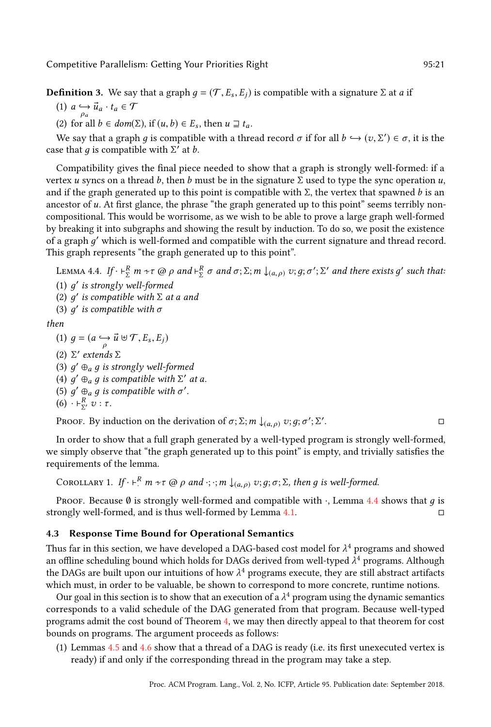**Definition 3.** We say that a graph  $g = (\mathcal{T}, E_s, E_j)$  is compatible with a signature  $\Sigma$  at a if

(1) 
$$
a \leftrightarrow \vec{u}_a \cdot t_a \in \mathcal{T}
$$
  
(2) for all  $b \in \text{dom}(\Sigma)$ 

(2) for all  $b \in dom(\Sigma)$ , if  $(u, b) \in E_s$ , then  $u \sqsupseteq t_a$ .

We say that a graph g is compatible with a thread record  $\sigma$  if for all  $b \hookrightarrow (v, \Sigma') \in \sigma$ , it is the set that g is compatible with  $\Sigma'$  at h case that *g* is compatible with  $\Sigma'$  at *b*.

Compatibility gives the final piece needed to show that a graph is strongly well-formed: if a vertex u syncs on a thread b, then b must be in the signature  $\Sigma$  used to type the sync operation u, and if the graph generated up to this point is compatible with  $\Sigma$ , the vertex that spawned b is an ancestor of u. At first glance, the phrase "the graph generated up to this point" seems terribly noncompositional. This would be worrisome, as we wish to be able to prove a large graph well-formed by breaking it into subgraphs and showing the result by induction. To do so, we posit the existence of a graph g' which is well-formed and compatible with the current signature and thread record. This graph represents "the graph generated up to this point".

<span id="page-20-1"></span>LEMMA 4.4. If  $\cdot$   $\vdash^R_\Sigma$   $m \sim \tau \text{ @ } \rho$  and  $\vdash^R_\Sigma \sigma$  and  $\sigma$ ;  $\Sigma$ ;  $m \downarrow_{(a,\rho)} v$ ;  $g$ ;  $\sigma'$ ;  $\Sigma'$  and there exists  $g'$  such that: (1) g' is strongly well-formed

- (2)  $g'$  is compatible with  $\Sigma$  at a and<br>(3)  $g'$  is compatible with  $\sigma$
- (3)  $g'$  is compatible with  $\sigma$

## then

(1)  $g = (a \leftrightarrow \vec{u} \oplus \mathcal{T}, E_s, E_j)$ <br>(2)  $\Sigma'$  sutureds  $\Sigma$ 

(2) Σ' extends Σ<br>(3)  $a'$  ⊕ a is str

(3)  $g' \oplus_a g$  is strongly well-formed

(4)  $g' \oplus_a g$  is compatible with  $\Sigma'$  at a.<br>(5)  $g' \oplus_a g$  is compatible with  $\sigma'$ .

(5)  $g' \oplus_a g$  is compatible with  $\sigma'$ .

 $(6) \cdot \vdash^R_{\Sigma'} v : \tau.$ 

Proof. By induction on the derivation of  $\sigma$ ;  $\Sigma$ ;  $m \downarrow_{(a,\rho)} v$ ;  $g$ ;  $\sigma'$ ;  $\Sigma'$ . □

In order to show that a full graph generated by a well-typed program is strongly well-formed, we simply observe that "the graph generated up to this point" is empty, and trivially satisfies the requirements of the lemma.

COROLLARY 1. If  $\cdot \vdash^R \mathsf{m} \sim \tau \omega \rho$  and  $\cdot; \cdot; \mathsf{m} \downarrow_{(a,\rho)} v; g; \sigma; \Sigma$ , then g is well-formed.

Proof. Because  $\emptyset$  is strongly well-formed and compatible with  $\cdot$ , Lemma [4.4](#page-20-1) shows that  $q$  is strongly well-formed, and is thus well-formed by Lemma  $4.1$ .  $\Box$ 

## <span id="page-20-0"></span>4.3 Response Time Bound for Operational Semantics

Thus far in this section, we have developed a DAG-based cost model for  $\lambda^4$  programs and showed an offline scheduling bound which holds for DAGs derived from well-typed  $\lambda^4$  programs. Although the DAGs are built upon our intuitions of how  $\lambda^4$  programs execute, they are still abstract artifacts which must, in order to be valuable, be shown to correspond to more concrete, runtime notions.

Our goal in this section is to show that an execution of a  $\lambda^4$  program using the dynamic semantics corresponds to a valid schedule of the DAG generated from that program. Because well-typed programs admit the cost bound of Theorem [4,](#page-17-1) we may then directly appeal to that theorem for cost bounds on programs. The argument proceeds as follows:

(1) Lemmas [4.5](#page-0-0) and [4.6](#page-21-0) show that a thread of a DAG is ready (i.e. its first unexecuted vertex is ready) if and only if the corresponding thread in the program may take a step.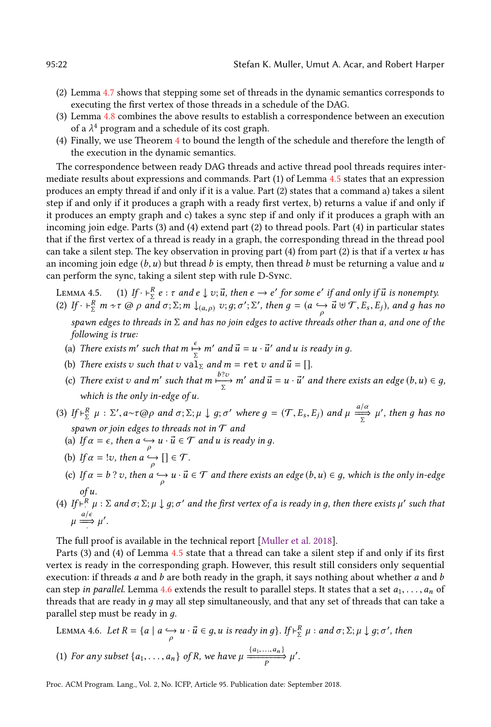- (2) Lemma [4.7](#page-0-0) shows that stepping some set of threads in the dynamic semantics corresponds to executing the first vertex of those threads in a schedule of the DAG.
- (3) Lemma [4.8](#page-22-0) combines the above results to establish a correspondence between an execution of a  $\lambda^4$  program and a schedule of its cost graph.
- (4) Finally, we use Theorem [4](#page-17-1) to bound the length of the schedule and therefore the length of the execution in the dynamic semantics.

The correspondence between ready DAG threads and active thread pool threads requires intermediate results about expressions and commands. Part (1) of Lemma [4.5](#page-0-0) states that an expression produces an empty thread if and only if it is a value. Part (2) states that a command a) takes a silent step if and only if it produces a graph with a ready first vertex, b) returns a value if and only if it produces an empty graph and c) takes a sync step if and only if it produces a graph with an incoming join edge. Parts (3) and (4) extend part (2) to thread pools. Part (4) in particular states that if the first vertex of a thread is ready in a graph, the corresponding thread in the thread pool can take a silent step. The key observation in proving part  $(4)$  from part  $(2)$  is that if a vertex u has an incoming join edge  $(b, u)$  but thread b is empty, then thread b must be returning a value and u can perform the sync, taking a silent step with rule D-Sync.

LEMMA 4.5. (1)  $If \tcdot \tfrac{R}{\Sigma}$ <br>(2) If  $\cdot \tfrac{R}{\Sigma}$  m  $\infty \in \mathcal{Q}$  and  $e : \tau$  and  $e \downarrow v; \vec{u}$ , then  $e \rightarrow e'$  for some  $e'$  if and only if  $\vec{u}$  is nonempty. (2) If  $\cdot$   $\vdash_{\Sigma}^{R}$   $m \sim \tau$  @  $\rho$  and  $\sigma$ ;  $\Sigma$ ;  $m \downarrow_{(a,\rho)} v$ ;  $g; \sigma'$ ;  $\Sigma'$ , then  $g = (a \leftrightarrow \vec{u} \uplus \mathcal{T}, E_s, E_j)$ , and  $g$  has no spawn edges to threads in Σ and has no join edges to active threads other than <sup>a</sup>, and one of the following is true:

- (a) There exists  $m'$  such that  $m \stackrel{\epsilon}{\mapsto} m'$  and  $\vec{u} = u \cdot \vec{u}'$  and  $u$  is ready in g.
- (b) There exists v such that v val<sub> $\Sigma$ </sub> and  $m =$  ret v and  $\vec{u} = []$ .
- (c) There exist v and m' such that  $m \xrightarrow{\frac{b?v}{\Sigma}} m'$  and  $\vec{u} = u \cdot \vec{u}'$  and there exists an edge  $(b, u) \in g$ , which is the only in-edge of u.
- (3) If  $\vdash_{\Sigma}^{R} \mu : \Sigma', a \sim \tau \omega \rho$  and  $\sigma; \Sigma; \mu \downarrow g; \sigma'$  where  $g = (\mathcal{T}, E_s, E_j)$  and  $\mu \stackrel{a/\alpha}{\Longrightarrow} \mu'$ , then g has no spawn or join edges to threads not in  ${\mathcal T}$  and
	- (a) If  $\alpha = \epsilon$ , then  $a \hookrightarrow u \cdot \vec{u} \in \mathcal{T}$  and u is ready in g.<br>(b) If  $\alpha = \ln x$  then  $a \in \mathcal{S}$ .
	- (b) If  $\alpha = !v$ , then  $a \xrightarrow{\sim} [] \in \mathcal{T}$ .
	- (c) If  $\alpha = b$  ? v, then  $a \hookrightarrow u \cdot \vec{u} \in \mathcal{T}$  and there exists an edge  $(b, u) \in g$ , which is the only in-edge of  $\alpha$ . of u.
- (4) If  $\vdash^R_\cdot \mu : \Sigma$  and  $\sigma; \Sigma; \mu \downarrow g; \sigma'$  and the first vertex of a is ready in g, then there exists  $\mu'$  such that  $\mu \stackrel{a/\epsilon}{\Longrightarrow} \mu'.$

The full proof is available in the technical report [\[Muller et al.](#page-28-13) [2018\]](#page-28-13).

Parts (3) and (4) of Lemma [4.5](#page-0-0) state that a thread can take a silent step if and only if its first vertex is ready in the corresponding graph. However, this result still considers only sequential execution: if threads a and b are both ready in the graph, it says nothing about whether a and b can step in parallel. Lemma [4.6](#page-21-0) extends the result to parallel steps. It states that a set  $a_1, \ldots, a_n$  of threads that are ready in  $q$  may all step simultaneously, and that any set of threads that can take a parallel step must be ready in д.

<span id="page-21-0"></span>LEMMA 4.6. Let 
$$
R = \{a \mid a \hookrightarrow u \cdot \vec{u} \in g, u \text{ is ready in } g\}
$$
. If  $\vdash_{\Sigma}^{R} \mu$  : and  $\sigma$ ;  $\Sigma$ ;  $\mu \downarrow g$ ;  $\sigma'$ , then  
(1) For any subset  $\{a_1, \ldots, a_n\}$  of R, we have  $\mu \xrightarrow{\{a_1, \ldots, a_n\}} \mu'$ .

Proc. ACM Program. Lang., Vol. 2, No. ICFP, Article 95. Publication date: September 2018.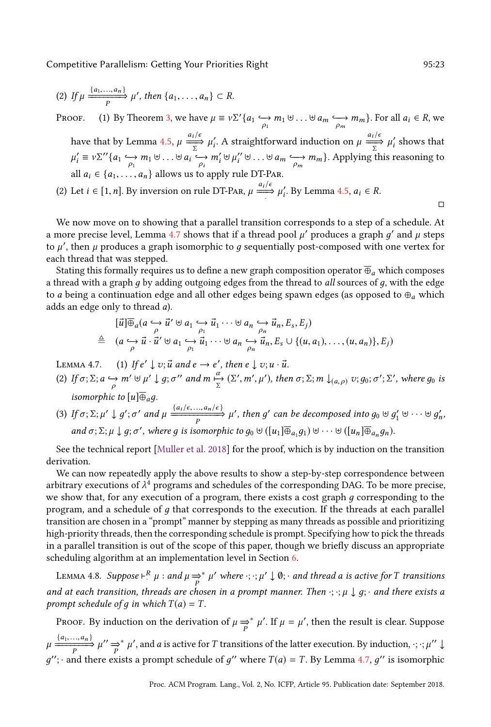(2) If  $\mu \xrightarrow{\{a_1,\ldots,a_n\}} \mu'$ , then  $\{a_1,\ldots,a_n\} \subset R$ .

PROOF. (1) By Theorem [3,](#page-14-2) we have  $\mu = v \Sigma' \{a_1 \leftrightarrow m_1 \uplus ... \uplus a_m \leftrightarrow m_m \}$ . For all  $a_i \in R$ , we have that by Lemma [4.5,](#page-0-0)  $\mu \stackrel{a_i/\epsilon}{\Longrightarrow}$ Σ  $\mu'_i$ <sup>2</sup><sub>i</sub>. A straightforward induction on  $\mu \frac{a_i/\epsilon}{\sum_{i=1}^{n} a_i}$ Σ  $\mu'_i$ shows that  $\mu'_i \equiv v \Sigma'' \{a_1 \stackrel{\leftrightarrow}{\longrightarrow} m_1 \uplus \dots \uplus a_i \stackrel{\leftarrow}{\longrightarrow} m'_i \uplus \mu''_i \uplus \dots \uplus a_m \stackrel{\leftarrow}{\longrightarrow} m_m \}$ . Applying this reasoning to all  $a_i \in \{a_1, \ldots, a_n\}$  allows us to apply rule DT-PAR.

(2) Let  $i \in [1, n]$ . By inversion on rule DT-Pare,  $\mu \stackrel{a_i/\epsilon}{\Longrightarrow} \mu'_i$ . By Lemma [4.5,](#page-0-0)  $a_i \in R$ .

We now move on to showing that a parallel transition corresponds to a step of a schedule. At a more precise level, Lemma [4.7](#page-0-0) shows that if a thread pool  $\mu'$  produces a graph g' and  $\mu$  steps to  $\mu'$ , then  $\mu$  produces a graph isomorphic to g sequentially post-composed with one vertex for each thread that was stepped.

Stating this formally requires us to define a new graph composition operator  $\overline{\oplus}_a$  which composes a thread with a graph  $g$  by adding outgoing edges from the thread to all sources of  $g$ , with the edge to a being a continuation edge and all other edges being spawn edges (as opposed to  $\oplus_a$  which adds an edge only to thread a).

$$
[\vec{u}]\overline{\oplus}_a(a \xrightarrow{\sim} \vec{u}' \uplus a_1 \xrightarrow{\sim} \vec{u}_1 \cdots \uplus a_n \xrightarrow{\sim} \vec{u}_n, E_s, E_j)
$$
  
\n
$$
\triangleq (a \xrightarrow{\sim} \vec{u} \cdot \vec{u}' \uplus a_1 \xrightarrow{\sim} \vec{u}_1 \cdots \uplus a_n \xrightarrow{\sim} \vec{u}_n, E_s \cup \{(u, a_1), \dots, (u, a_n)\}, E_j)
$$

LEMMA 4.7. (1) If  $e' \downarrow v$ ;  $\vec{u}$  and  $e \rightarrow e'$ , then  $e \downarrow v$ ;  $u \cdot \vec{u}$ .

- (2) If  $\sigma$ ;  $\Sigma$ ;  $a \hookrightarrow m' \uplus \mu' \downarrow g$ ;  $\sigma''$  and  $m \overset{\alpha}{\mapsto}$  $\stackrel{\alpha}{\rightarrow}$  (Σ', m',  $\mu'$ ), then  $\sigma$ ; Σ; m  $\downarrow_{(a,\rho)} v$ ; g<sub>0</sub>;  $\sigma'$ ; Σ', where g<sub>0</sub> is isomorphic to  $[u]\overline{\oplus}_a g$ .
- (3) If  $\sigma$ ;  $\Sigma$ ;  $\mu' \downarrow g'$ ;  $\sigma'$  and  $\mu \stackrel{\{a_i/\epsilon,\ldots,a_n/\epsilon\}}{\longrightarrow} \mu'$ , then  $g'$  can be decomposed into  $g_0 \uplus g'_1 \uplus \cdots \uplus g'_n$ and  $\sigma$ ;  $\Sigma$ ;  $\mu \downarrow g$ ;  $\sigma'$ , where g is isomorphic to  $g_0 \uplus ([u_1]\overline{\oplus}_{a_1}g_1) \uplus \cdots \uplus ([u_n]\overline{\oplus}_{a_n}g_n)$ .  $\frac{1}{n}$ ,

See the technical report [\[Muller et al.](#page-28-13) [2018\]](#page-28-13) for the proof, which is by induction on the transition derivation.

We can now repeatedly apply the above results to show a step-by-step correspondence between arbitrary executions of  $\lambda^4$  programs and schedules of the corresponding DAG. To be more precise, we show that, for any execution of a program, there exists a cost graph  $q$  corresponding to the program, and a schedule of  $q$  that corresponds to the execution. If the threads at each parallel transition are chosen in a "prompt" manner by stepping as many threads as possible and prioritizing high-priority threads, then the corresponding schedule is prompt. Specifying how to pick the threads in a parallel transition is out of the scope of this paper, though we briefly discuss an appropriate scheduling algorithm at an implementation level in Section [6.](#page-23-0)

<span id="page-22-0"></span>LEMMA 4.8. Suppose  $\vdash^R_\cdot \mu$ : and  $\mu \Rightarrow^*_\cdot \mu'$  where  $\cdot; \cdot; \mu' \downarrow \emptyset$ ; $\cdot$  and thread a is active for T transitions and at each transition, threads are chosen in a prompt manner. Then  $\cdot;\cdot;\mu\downarrow g;\cdot$  and there exists a prompt schedule of q in which  $T(a) = T$ .

PROOF. By induction on the derivation of  $\mu \Rightarrow^* \mu'$ . If  $\mu = \mu'$ , then the result is clear. Suppose  $\mu \xrightarrow{\{a_1,\ldots,a_n\}} \mu'' \rightrightarrows^* \mu'$ , and a is active for T transitions of the latter execution. By induction,  $\cdot; \cdot; \mu'' \downarrow$  $g''$ ; and there exists a prompt schedule of g'' where  $T(a) = T$ . By Lemma [4.7,](#page-0-0) g'' is isomorphic

□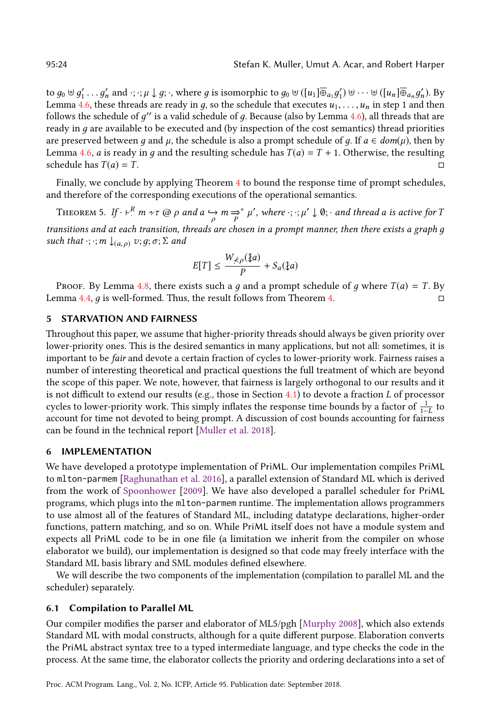to  $g_0 \uplus g'_1 \dots g'_n$  and  $\cdot; \cdot; \mu \downarrow g; \cdot$ , where g is isomorphic to  $g_0 \uplus ([u_1] \overline{\oplus}_{a_1} g'_1) \uplus \cdots \uplus ([u_n] \overline{\oplus}_{a_n} g'_n)$ . By Lemma [4.6,](#page-21-0) these threads are ready in g, so the schedule that executes  $u_1, \ldots, u_n$  in step 1 and then follows the schedule of g' is a valid schedule of g Because (also by Lemma 4.6) all threads that are follows the schedule of  $g''$  is a valid schedule of g. Because (also by Lemma [4.6\)](#page-21-0), all threads that are ready in д are available to be executed and (by inspection of the cost semantics) thread priorities are preserved between q and  $\mu$ , the schedule is also a prompt schedule of q. If  $a \in dom(\mu)$ , then by Lemma [4.6,](#page-21-0) a is ready in q and the resulting schedule has  $T(a) = T + 1$ . Otherwise, the resulting schedule has  $T(a) = T$ .

Finally, we conclude by applying Theorem [4](#page-17-1) to bound the response time of prompt schedules, and therefore of the corresponding executions of the operational semantics.

THEOREM 5. If  $\cdot \vdash^R \mathsf{m} \cdot \tau \otimes \rho$  and  $a \leftrightarrow \mathsf{m} \Rightarrow^* \mu'$ , where  $\cdot; \cdot; \mu' \downarrow \emptyset; \cdot$  and thread a is active for T transitions and at each transition, threads are chosen in a prompt manner, then there exists a graph g such that  $\cdot; \cdot; m \downarrow_{(a, \rho)} v; g; \sigma; \Sigma$  and

$$
E[T] \le \frac{W_{\nless \rho}(\mathcal{Z}a)}{P} + S_a(\mathcal{Z}a)
$$

Proof. By Lemma [4.8,](#page-22-0) there exists such a g and a prompt schedule of g where  $T(a) = T$ . By Lemma [4.4,](#page-20-1)  $q$  is well-formed. Thus, the result follows from Theorem [4.](#page-17-1)  $□$ 

## 5 STARVATION AND FAIRNESS

Throughout this paper, we assume that higher-priority threads should always be given priority over lower-priority ones. This is the desired semantics in many applications, but not all: sometimes, it is important to be fair and devote a certain fraction of cycles to lower-priority work. Fairness raises a number of interesting theoretical and practical questions the full treatment of which are beyond the scope of this paper. We note, however, that fairness is largely orthogonal to our results and it is not difficult to extend our results (e.g., those in Section [4.1\)](#page-14-1) to devote a fraction  $L$  of processor cycles to lower-priority work. This simply inflates the response time bounds by a factor of  $\frac{1}{1-L}$  to account for time not devoted to being prompt. A discussion of cost bounds accounting for fairness account for time not devoted to being prompt. A discussion of cost bounds accounting for fairness can be found in the technical report [\[Muller et al.](#page-28-13) [2018\]](#page-28-13).

### <span id="page-23-0"></span>6 IMPLEMENTATION

We have developed a prototype implementation of PriML. Our implementation compiles PriML to mlton-parmem [\[Raghunathan et al.](#page-29-1) [2016\]](#page-29-1), a parallel extension of Standard ML which is derived from the work of [Spoonhower](#page-29-3) [\[2009\]](#page-29-3). We have also developed a parallel scheduler for PriML programs, which plugs into the mlton-parmem runtime. The implementation allows programmers to use almost all of the features of Standard ML, including datatype declarations, higher-order functions, pattern matching, and so on. While PriML itself does not have a module system and expects all PriML code to be in one file (a limitation we inherit from the compiler on whose elaborator we build), our implementation is designed so that code may freely interface with the Standard ML basis library and SML modules defined elsewhere.

We will describe the two components of the implementation (compilation to parallel ML and the scheduler) separately.

## 6.1 Compilation to Parallel ML

Our compiler modifies the parser and elaborator of ML5/pgh [\[Murphy](#page-28-14) [2008\]](#page-28-14), which also extends Standard ML with modal constructs, although for a quite different purpose. Elaboration converts the PriML abstract syntax tree to a typed intermediate language, and type checks the code in the process. At the same time, the elaborator collects the priority and ordering declarations into a set of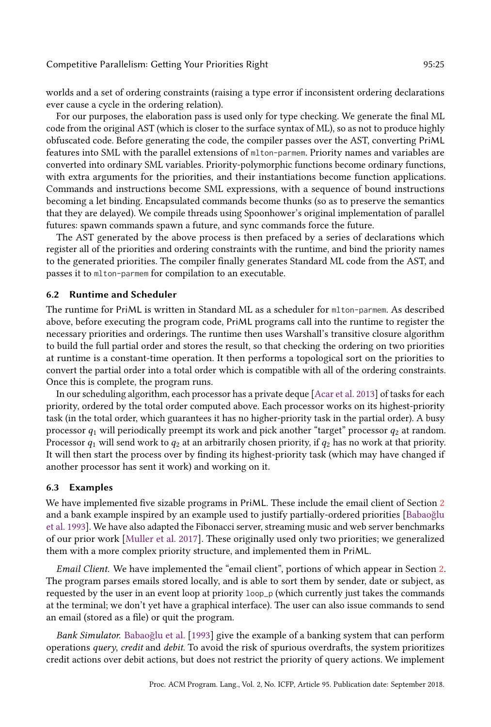worlds and a set of ordering constraints (raising a type error if inconsistent ordering declarations ever cause a cycle in the ordering relation).

For our purposes, the elaboration pass is used only for type checking. We generate the final ML code from the original AST (which is closer to the surface syntax of ML), so as not to produce highly obfuscated code. Before generating the code, the compiler passes over the AST, converting PriML features into SML with the parallel extensions of mlton-parmem. Priority names and variables are converted into ordinary SML variables. Priority-polymorphic functions become ordinary functions, with extra arguments for the priorities, and their instantiations become function applications. Commands and instructions become SML expressions, with a sequence of bound instructions becoming a let binding. Encapsulated commands become thunks (so as to preserve the semantics that they are delayed). We compile threads using Spoonhower's original implementation of parallel futures: spawn commands spawn a future, and sync commands force the future.

The AST generated by the above process is then prefaced by a series of declarations which register all of the priorities and ordering constraints with the runtime, and bind the priority names to the generated priorities. The compiler finally generates Standard ML code from the AST, and passes it to mlton-parmem for compilation to an executable.

#### 6.2 Runtime and Scheduler

The runtime for PriML is written in Standard ML as a scheduler for mlton-parmem. As described above, before executing the program code, PriML programs call into the runtime to register the necessary priorities and orderings. The runtime then uses Warshall's transitive closure algorithm to build the full partial order and stores the result, so that checking the ordering on two priorities at runtime is a constant-time operation. It then performs a topological sort on the priorities to convert the partial order into a total order which is compatible with all of the ordering constraints. Once this is complete, the program runs.

In our scheduling algorithm, each processor has a private deque [\[Acar et al.](#page-27-2) [2013\]](#page-27-2) of tasks for each priority, ordered by the total order computed above. Each processor works on its highest-priority task (in the total order, which guarantees it has no higher-priority task in the partial order). A busy processor  $q_1$  will periodically preempt its work and pick another "target" processor  $q_2$  at random. Processor  $q_1$  will send work to  $q_2$  at an arbitrarily chosen priority, if  $q_2$  has no work at that priority. It will then start the process over by finding its highest-priority task (which may have changed if another processor has sent it work) and working on it.

#### 6.3 Examples

We have implemented five sizable programs in PriML. These include the email client of Section [2](#page-3-0) and a bank example inspired by an example used to justify partially-ordered priorities [\[Babaoğlu](#page-27-3) [et al.](#page-27-3) [1993\]](#page-27-3). We have also adapted the Fibonacci server, streaming music and web server benchmarks of our prior work [\[Muller et al.](#page-28-8) [2017\]](#page-28-8). These originally used only two priorities; we generalized them with a more complex priority structure, and implemented them in PriML.

Email Client. We have implemented the "email client", portions of which appear in Section [2.](#page-3-0) The program parses emails stored locally, and is able to sort them by sender, date or subject, as requested by the user in an event loop at priority loop\_p (which currently just takes the commands at the terminal; we don't yet have a graphical interface). The user can also issue commands to send an email (stored as a file) or quit the program.

Bank Simulator. [Babaoğlu et al.](#page-27-3) [\[1993\]](#page-27-3) give the example of a banking system that can perform operations query, credit and debit. To avoid the risk of spurious overdrafts, the system prioritizes credit actions over debit actions, but does not restrict the priority of query actions. We implement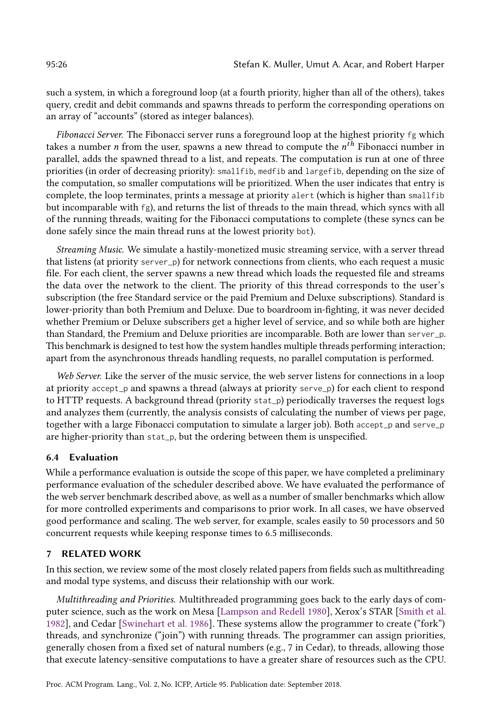such a system, in which a foreground loop (at a fourth priority, higher than all of the others), takes query, credit and debit commands and spawns threads to perform the corresponding operations on an array of "accounts" (stored as integer balances).

Fibonacci Server. The Fibonacci server runs a foreground loop at the highest priority fg which takes a number *n* from the user, spawns a new thread to compute the  $n^{th}$  Fibonacci number in parallel, adds the spawned thread to a list, and repeats. The computation is run at one of three priorities (in order of decreasing priority): smallfib, medfib and largefib, depending on the size of the computation, so smaller computations will be prioritized. When the user indicates that entry is complete, the loop terminates, prints a message at priority alert (which is higher than smallfib but incomparable with fg), and returns the list of threads to the main thread, which syncs with all of the running threads, waiting for the Fibonacci computations to complete (these syncs can be done safely since the main thread runs at the lowest priority bot).

Streaming Music. We simulate a hastily-monetized music streaming service, with a server thread that listens (at priority server\_p) for network connections from clients, who each request a music file. For each client, the server spawns a new thread which loads the requested file and streams the data over the network to the client. The priority of this thread corresponds to the user's subscription (the free Standard service or the paid Premium and Deluxe subscriptions). Standard is lower-priority than both Premium and Deluxe. Due to boardroom in-fighting, it was never decided whether Premium or Deluxe subscribers get a higher level of service, and so while both are higher than Standard, the Premium and Deluxe priorities are incomparable. Both are lower than server\_p. This benchmark is designed to test how the system handles multiple threads performing interaction; apart from the asynchronous threads handling requests, no parallel computation is performed.

Web Server. Like the server of the music service, the web server listens for connections in a loop at priority accept\_p and spawns a thread (always at priority serve\_p) for each client to respond to HTTP requests. A background thread (priority stat\_p) periodically traverses the request logs and analyzes them (currently, the analysis consists of calculating the number of views per page, together with a large Fibonacci computation to simulate a larger job). Both accept\_p and serve\_p are higher-priority than stat\_p, but the ordering between them is unspecified.

## 6.4 Evaluation

While a performance evaluation is outside the scope of this paper, we have completed a preliminary performance evaluation of the scheduler described above. We have evaluated the performance of the web server benchmark described above, as well as a number of smaller benchmarks which allow for more controlled experiments and comparisons to prior work. In all cases, we have observed good performance and scaling. The web server, for example, scales easily to 50 processors and 50 concurrent requests while keeping response times to 6.5 milliseconds.

## 7 RELATED WORK

In this section, we review some of the most closely related papers from fields such as multithreading and modal type systems, and discuss their relationship with our work.

Multithreading and Priorities. Multithreaded programming goes back to the early days of computer science, such as the work on Mesa [\[Lampson and Redell](#page-28-15) [1980\]](#page-28-15), Xerox's STAR [\[Smith et al.](#page-29-4) [1982\]](#page-29-4), and Cedar [\[Swinehart et al.](#page-29-5) [1986\]](#page-29-5). These systems allow the programmer to create ("fork") threads, and synchronize ("join") with running threads. The programmer can assign priorities, generally chosen from a fixed set of natural numbers (e.g., 7 in Cedar), to threads, allowing those that execute latency-sensitive computations to have a greater share of resources such as the CPU.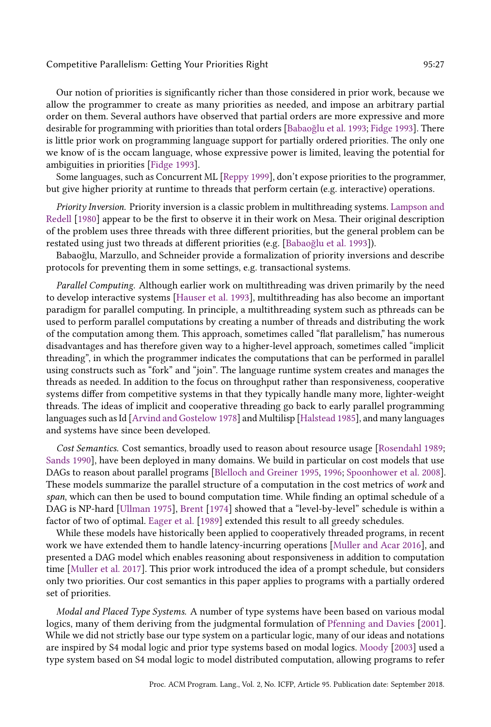Our notion of priorities is significantly richer than those considered in prior work, because we allow the programmer to create as many priorities as needed, and impose an arbitrary partial order on them. Several authors have observed that partial orders are more expressive and more desirable for programming with priorities than total orders [\[Babaoğlu et al.](#page-27-3) [1993;](#page-27-3) [Fidge](#page-28-16) [1993\]](#page-28-16). There is little prior work on programming language support for partially ordered priorities. The only one we know of is the occam language, whose expressive power is limited, leaving the potential for ambiguities in priorities [\[Fidge](#page-28-16) [1993\]](#page-28-16).

Some languages, such as Concurrent ML [\[Reppy](#page-29-6) [1999\]](#page-29-6), don't expose priorities to the programmer, but give higher priority at runtime to threads that perform certain (e.g. interactive) operations.

Priority Inversion. Priority inversion is a classic problem in multithreading systems. [Lampson and](#page-28-15) [Redell](#page-28-15) [\[1980\]](#page-28-15) appear to be the first to observe it in their work on Mesa. Their original description of the problem uses three threads with three different priorities, but the general problem can be restated using just two threads at different priorities (e.g. [\[Babaoğlu et al.](#page-27-3) [1993\]](#page-27-3)).

Babaoğlu, Marzullo, and Schneider provide a formalization of priority inversions and describe protocols for preventing them in some settings, e.g. transactional systems.

Parallel Computing. Although earlier work on multithreading was driven primarily by the need to develop interactive systems [\[Hauser et al.](#page-28-7) [1993\]](#page-28-7), multithreading has also become an important paradigm for parallel computing. In principle, a multithreading system such as pthreads can be used to perform parallel computations by creating a number of threads and distributing the work of the computation among them. This approach, sometimes called "flat parallelism," has numerous disadvantages and has therefore given way to a higher-level approach, sometimes called "implicit threading", in which the programmer indicates the computations that can be performed in parallel using constructs such as "fork" and "join". The language runtime system creates and manages the threads as needed. In addition to the focus on throughput rather than responsiveness, cooperative systems differ from competitive systems in that they typically handle many more, lighter-weight threads. The ideas of implicit and cooperative threading go back to early parallel programming languages such as Id [\[Arvind and Gostelow](#page-27-4) [1978\]](#page-27-4) and Multilisp [\[Halstead](#page-28-17) [1985\]](#page-28-17), and many languages and systems have since been developed.

Cost Semantics. Cost semantics, broadly used to reason about resource usage [\[Rosendahl](#page-29-7) [1989;](#page-29-7) [Sands](#page-29-8) [1990\]](#page-29-8), have been deployed in many domains. We build in particular on cost models that use DAGs to reason about parallel programs [\[Blelloch and Greiner](#page-27-0) [1995,](#page-27-0) [1996;](#page-27-1) [Spoonhower et al.](#page-29-2) [2008\]](#page-29-2). These models summarize the parallel structure of a computation in the cost metrics of work and span, which can then be used to bound computation time. While finding an optimal schedule of a DAG is NP-hard [\[Ullman](#page-29-9) [1975\]](#page-29-9), [Brent](#page-28-18) [\[1974\]](#page-28-18) showed that a "level-by-level" schedule is within a factor of two of optimal. [Eager et al.](#page-28-6) [\[1989\]](#page-28-6) extended this result to all greedy schedules.

While these models have historically been applied to cooperatively threaded programs, in recent work we have extended them to handle latency-incurring operations [\[Muller and Acar](#page-28-19) [2016\]](#page-28-19), and presented a DAG model which enables reasoning about responsiveness in addition to computation time [\[Muller et al.](#page-28-8) [2017\]](#page-28-8). This prior work introduced the idea of a prompt schedule, but considers only two priorities. Our cost semantics in this paper applies to programs with a partially ordered set of priorities.

Modal and Placed Type Systems. A number of type systems have been based on various modal logics, many of them deriving from the judgmental formulation of [Pfenning and Davies](#page-28-20) [\[2001\]](#page-28-20). While we did not strictly base our type system on a particular logic, many of our ideas and notations are inspired by S4 modal logic and prior type systems based on modal logics. [Moody](#page-28-21) [\[2003\]](#page-28-21) used a type system based on S4 modal logic to model distributed computation, allowing programs to refer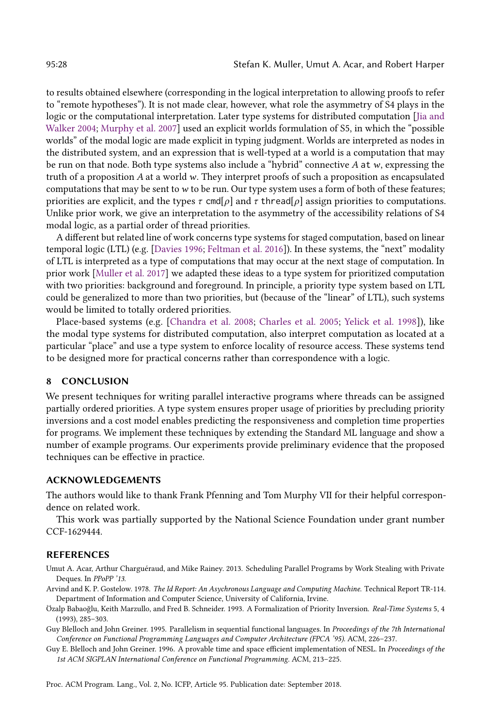to results obtained elsewhere (corresponding in the logical interpretation to allowing proofs to refer to "remote hypotheses"). It is not made clear, however, what role the asymmetry of S4 plays in the logic or the computational interpretation. Later type systems for distributed computation [\[Jia and](#page-28-12) [Walker](#page-28-12) [2004;](#page-28-12) [Murphy et al.](#page-28-22) [2007\]](#page-28-22) used an explicit worlds formulation of S5, in which the "possible worlds" of the modal logic are made explicit in typing judgment. Worlds are interpreted as nodes in the distributed system, and an expression that is well-typed at a world is a computation that may be run on that node. Both type systems also include a "hybrid" connective  $A$  at  $w$ , expressing the truth of a proposition A at a world w. They interpret proofs of such a proposition as encapsulated computations that may be sent to  $w$  to be run. Our type system uses a form of both of these features; priorities are explicit, and the types  $\tau$  cmd[ $\rho$ ] and  $\tau$  thread[ $\rho$ ] assign priorities to computations. Unlike prior work, we give an interpretation to the asymmetry of the accessibility relations of S4 modal logic, as a partial order of thread priorities.

A different but related line of work concerns type systems for staged computation, based on linear temporal logic (LTL) (e.g. [\[Davies](#page-28-23) [1996;](#page-28-23) [Feltman et al.](#page-28-24) [2016\]](#page-28-24)). In these systems, the "next" modality of LTL is interpreted as a type of computations that may occur at the next stage of computation. In prior work [\[Muller et al.](#page-28-8) [2017\]](#page-28-8) we adapted these ideas to a type system for prioritized computation with two priorities: background and foreground. In principle, a priority type system based on LTL could be generalized to more than two priorities, but (because of the "linear" of LTL), such systems would be limited to totally ordered priorities.

Place-based systems (e.g. [\[Chandra et al.](#page-28-25) [2008;](#page-28-25) [Charles et al.](#page-28-26) [2005;](#page-28-26) [Yelick et al.](#page-29-10) [1998\]](#page-29-10)), like the modal type systems for distributed computation, also interpret computation as located at a particular "place" and use a type system to enforce locality of resource access. These systems tend to be designed more for practical concerns rather than correspondence with a logic.

## 8 CONCLUSION

We present techniques for writing parallel interactive programs where threads can be assigned partially ordered priorities. A type system ensures proper usage of priorities by precluding priority inversions and a cost model enables predicting the responsiveness and completion time properties for programs. We implement these techniques by extending the Standard ML language and show a number of example programs. Our experiments provide preliminary evidence that the proposed techniques can be effective in practice.

### ACKNOWLEDGEMENTS

The authors would like to thank Frank Pfenning and Tom Murphy VII for their helpful correspondence on related work.

This work was partially supported by the National Science Foundation under grant number CCF-1629444.

#### REFERENCES

- <span id="page-27-2"></span>Umut A. Acar, Arthur Charguéraud, and Mike Rainey. 2013. Scheduling Parallel Programs by Work Stealing with Private Deques. In PPoPP '13.
- <span id="page-27-4"></span>Arvind and K. P. Gostelow. 1978. The Id Report: An Asychronous Language and Computing Machine. Technical Report TR-114. Department of Information and Computer Science, University of California, Irvine.
- <span id="page-27-3"></span>Özalp Babaoğlu, Keith Marzullo, and Fred B. Schneider. 1993. A Formalization of Priority Inversion. Real-Time Systems 5, 4 (1993), 285–303.
- <span id="page-27-0"></span>Guy Blelloch and John Greiner. 1995. Parallelism in sequential functional languages. In Proceedings of the 7th International Conference on Functional Programming Languages and Computer Architecture (FPCA '95). ACM, 226–237.
- <span id="page-27-1"></span>Guy E. Blelloch and John Greiner. 1996. A provable time and space efficient implementation of NESL. In Proceedings of the 1st ACM SIGPLAN International Conference on Functional Programming. ACM, 213–225.

Proc. ACM Program. Lang., Vol. 2, No. ICFP, Article 95. Publication date: September 2018.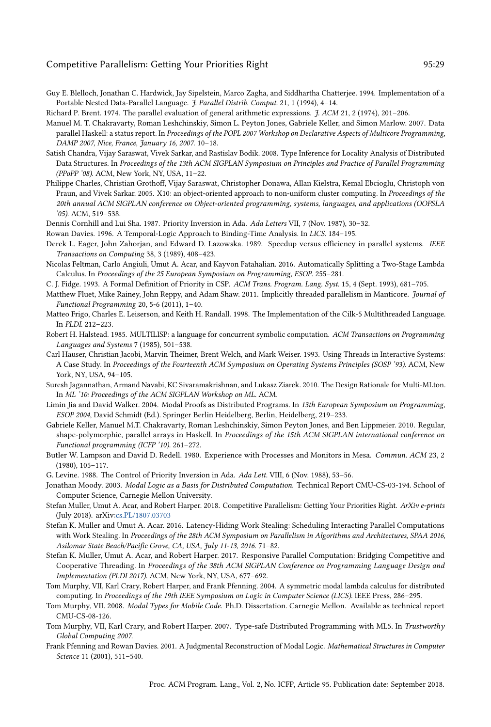- <span id="page-28-0"></span>Guy E. Blelloch, Jonathan C. Hardwick, Jay Sipelstein, Marco Zagha, and Siddhartha Chatterjee. 1994. Implementation of a Portable Nested Data-Parallel Language. J. Parallel Distrib. Comput. 21, 1 (1994), 4–14.
- <span id="page-28-18"></span>Richard P. Brent. 1974. The parallel evaluation of general arithmetic expressions. J. ACM 21, 2 (1974), 201–206.
- <span id="page-28-2"></span>Manuel M. T. Chakravarty, Roman Leshchinskiy, Simon L. Peyton Jones, Gabriele Keller, and Simon Marlow. 2007. Data parallel Haskell: a status report. In Proceedings of the POPL 2007 Workshop on Declarative Aspects of Multicore Programming, DAMP 2007, Nice, France, January 16, 2007. 10–18.
- <span id="page-28-25"></span>Satish Chandra, Vijay Saraswat, Vivek Sarkar, and Rastislav Bodik. 2008. Type Inference for Locality Analysis of Distributed Data Structures. In Proceedings of the 13th ACM SIGPLAN Symposium on Principles and Practice of Parallel Programming (PPoPP '08). ACM, New York, NY, USA, 11–22.
- <span id="page-28-26"></span>Philippe Charles, Christian Grothoff, Vijay Saraswat, Christopher Donawa, Allan Kielstra, Kemal Ebcioglu, Christoph von Praun, and Vivek Sarkar. 2005. X10: an object-oriented approach to non-uniform cluster computing. In Proceedings of the 20th annual ACM SIGPLAN conference on Object-oriented programming, systems, languages, and applications (OOPSLA '05). ACM, 519–538.
- <span id="page-28-9"></span>Dennis Cornhill and Lui Sha. 1987. Priority Inversion in Ada. Ada Letters VII, 7 (Nov. 1987), 30–32.
- <span id="page-28-23"></span>Rowan Davies. 1996. A Temporal-Logic Approach to Binding-Time Analysis. In LICS. 184–195.
- <span id="page-28-6"></span>Derek L. Eager, John Zahorjan, and Edward D. Lazowska. 1989. Speedup versus efficiency in parallel systems. IEEE Transactions on Computing 38, 3 (1989), 408–423.
- <span id="page-28-24"></span>Nicolas Feltman, Carlo Angiuli, Umut A. Acar, and Kayvon Fatahalian. 2016. Automatically Splitting a Two-Stage Lambda Calculus. In Proceedings of the 25 European Symposium on Programming, ESOP. 255–281.
- <span id="page-28-16"></span>C. J. Fidge. 1993. A Formal Definition of Priority in CSP. ACM Trans. Program. Lang. Syst. 15, 4 (Sept. 1993), 681–705.
- <span id="page-28-4"></span>Matthew Fluet, Mike Rainey, John Reppy, and Adam Shaw. 2011. Implicitly threaded parallelism in Manticore. Journal of Functional Programming 20, 5-6 (2011), 1–40.
- <span id="page-28-1"></span>Matteo Frigo, Charles E. Leiserson, and Keith H. Randall. 1998. The Implementation of the Cilk-5 Multithreaded Language. In PLDI. 212–223.
- <span id="page-28-17"></span>Robert H. Halstead. 1985. MULTILISP: a language for concurrent symbolic computation. ACM Transactions on Programming Languages and Systems 7 (1985), 501–538.
- <span id="page-28-7"></span>Carl Hauser, Christian Jacobi, Marvin Theimer, Brent Welch, and Mark Weiser. 1993. Using Threads in Interactive Systems: A Case Study. In Proceedings of the Fourteenth ACM Symposium on Operating Systems Principles (SOSP '93). ACM, New York, NY, USA, 94–105.
- <span id="page-28-5"></span>Suresh Jagannathan, Armand Navabi, KC Sivaramakrishnan, and Lukasz Ziarek. 2010. The Design Rationale for Multi-MLton. In ML '10: Proceedings of the ACM SIGPLAN Workshop on ML. ACM.
- <span id="page-28-12"></span>Limin Jia and David Walker. 2004. Modal Proofs as Distributed Programs. In 13th European Symposium on Programming, ESOP 2004, David Schmidt (Ed.). Springer Berlin Heidelberg, Berlin, Heidelberg, 219–233.
- <span id="page-28-3"></span>Gabriele Keller, Manuel M.T. Chakravarty, Roman Leshchinskiy, Simon Peyton Jones, and Ben Lippmeier. 2010. Regular, shape-polymorphic, parallel arrays in Haskell. In Proceedings of the 15th ACM SIGPLAN international conference on Functional programming (ICFP '10). 261–272.
- <span id="page-28-15"></span>Butler W. Lampson and David D. Redell. 1980. Experience with Processes and Monitors in Mesa. Commun. ACM 23, 2 (1980), 105–117.
- <span id="page-28-10"></span>G. Levine. 1988. The Control of Priority Inversion in Ada. Ada Lett. VIII, 6 (Nov. 1988), 53–56.
- <span id="page-28-21"></span>Jonathan Moody. 2003. Modal Logic as a Basis for Distributed Computation. Technical Report CMU-CS-03-194. School of Computer Science, Carnegie Mellon University.
- <span id="page-28-13"></span>Stefan Muller, Umut A. Acar, and Robert Harper. 2018. Competitive Parallelism: Getting Your Priorities Right. ArXiv e-prints (July 2018). arXiv[:cs.PL/1807.03703](http://arxiv.org/abs/cs.PL/1807.03703)
- <span id="page-28-19"></span>Stefan K. Muller and Umut A. Acar. 2016. Latency-Hiding Work Stealing: Scheduling Interacting Parallel Computations with Work Stealing. In Proceedings of the 28th ACM Symposium on Parallelism in Algorithms and Architectures, SPAA 2016, Asilomar State Beach/Pacific Grove, CA, USA, July 11-13, 2016. 71–82.
- <span id="page-28-8"></span>Stefan K. Muller, Umut A. Acar, and Robert Harper. 2017. Responsive Parallel Computation: Bridging Competitive and Cooperative Threading. In Proceedings of the 38th ACM SIGPLAN Conference on Programming Language Design and Implementation (PLDI 2017). ACM, New York, NY, USA, 677–692.
- <span id="page-28-11"></span>Tom Murphy, VII, Karl Crary, Robert Harper, and Frank Pfenning. 2004. A symmetric modal lambda calculus for distributed computing. In Proceedings of the 19th IEEE Symposium on Logic in Computer Science (LICS). IEEE Press, 286–295.
- <span id="page-28-14"></span>Tom Murphy, VII. 2008. Modal Types for Mobile Code. Ph.D. Dissertation. Carnegie Mellon. Available as technical report CMU-CS-08-126.
- <span id="page-28-22"></span>Tom Murphy, VII, Karl Crary, and Robert Harper. 2007. Type-safe Distributed Programming with ML5. In Trustworthy Global Computing 2007.
- <span id="page-28-20"></span>Frank Pfenning and Rowan Davies. 2001. A Judgmental Reconstruction of Modal Logic. Mathematical Structures in Computer Science 11 (2001), 511–540.